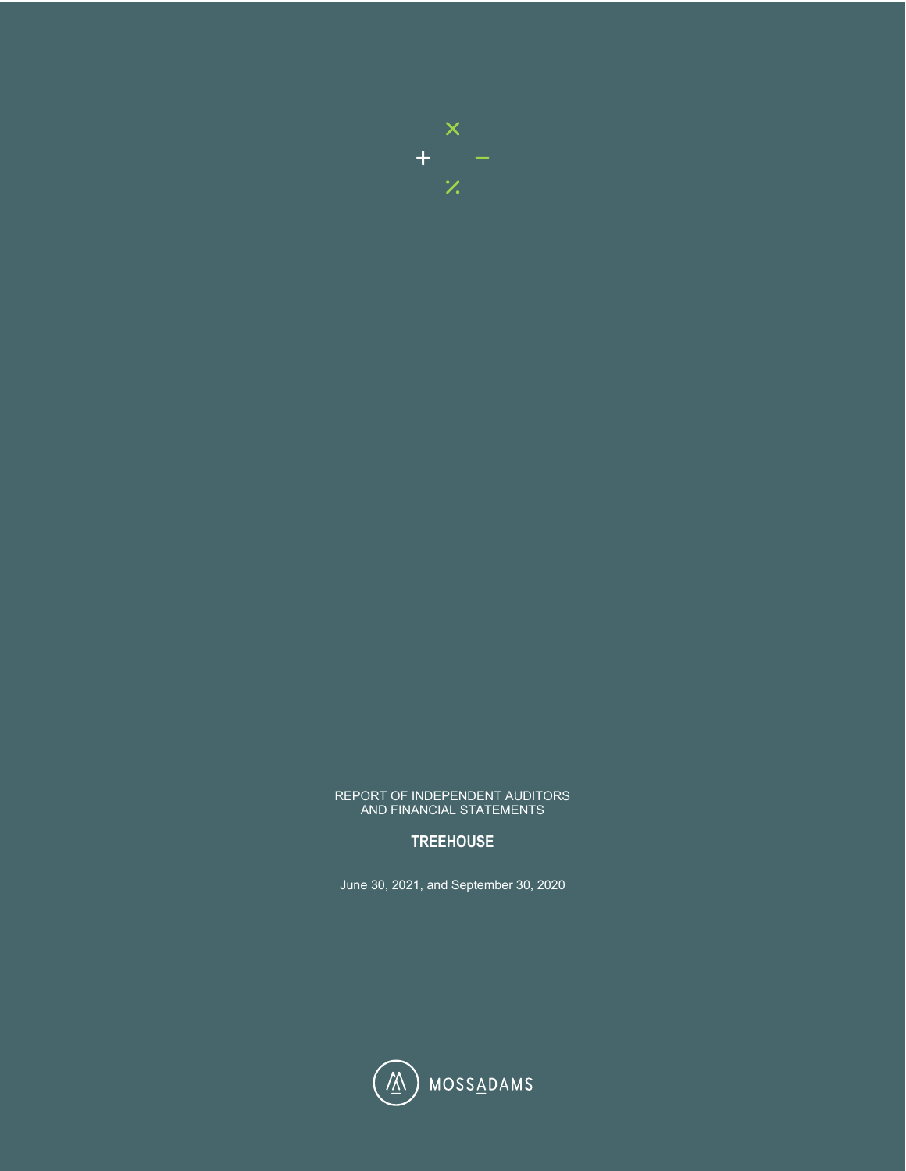

#### REPORT OF INDEPENDENT AUDITORS AND FINANCIAL STATEMENTS

# **TREEHOUSE**

June 30, 2021, and September 30, 2020

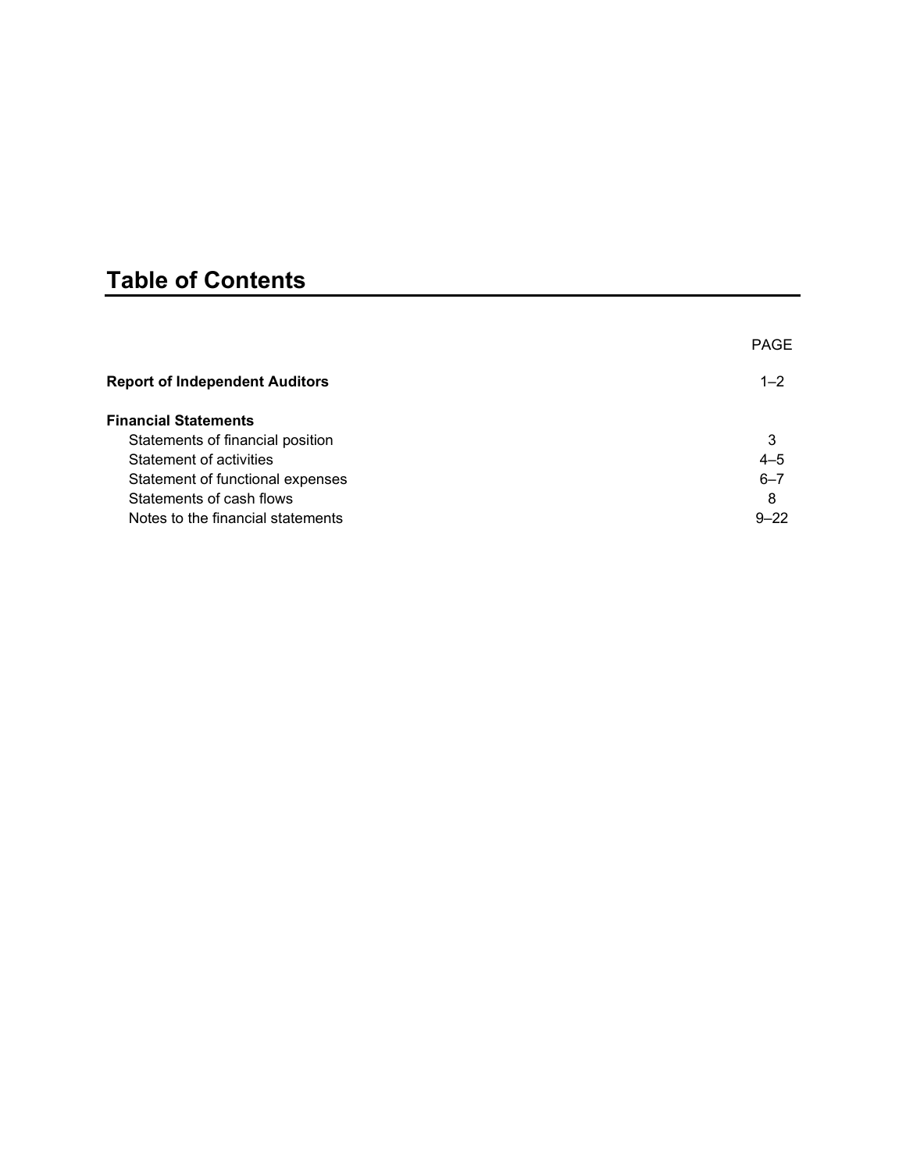# **Table of Contents**

|                                       | <b>PAGE</b> |
|---------------------------------------|-------------|
| <b>Report of Independent Auditors</b> | $1 - 2$     |
| <b>Financial Statements</b>           |             |
| Statements of financial position      | 3           |
| Statement of activities               | $4 - 5$     |
| Statement of functional expenses      | $6 - 7$     |
| Statements of cash flows              | 8           |
| Notes to the financial statements     | $9 - 22$    |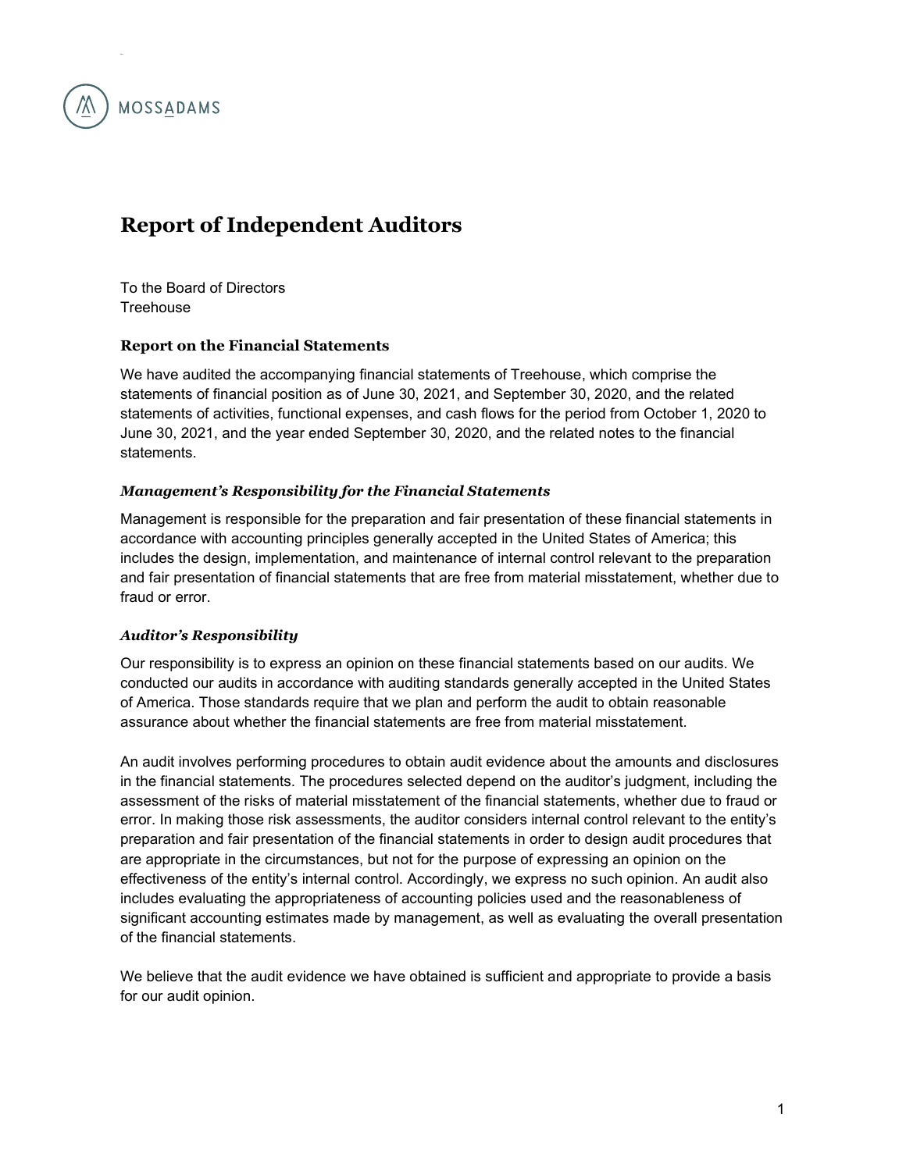

# **Report of Independent Auditors**

To the Board of Directors **Treehouse** 

# **Report on the Financial Statements**

We have audited the accompanying financial statements of Treehouse, which comprise the statements of financial position as of June 30, 2021, and September 30, 2020, and the related statements of activities, functional expenses, and cash flows for the period from October 1, 2020 to June 30, 2021, and the year ended September 30, 2020, and the related notes to the financial statements.

# *Management's Responsibility for the Financial Statements*

Management is responsible for the preparation and fair presentation of these financial statements in accordance with accounting principles generally accepted in the United States of America; this includes the design, implementation, and maintenance of internal control relevant to the preparation and fair presentation of financial statements that are free from material misstatement, whether due to fraud or error.

# *Auditor's Responsibility*

Our responsibility is to express an opinion on these financial statements based on our audits. We conducted our audits in accordance with auditing standards generally accepted in the United States of America. Those standards require that we plan and perform the audit to obtain reasonable assurance about whether the financial statements are free from material misstatement.

An audit involves performing procedures to obtain audit evidence about the amounts and disclosures in the financial statements. The procedures selected depend on the auditor's judgment, including the assessment of the risks of material misstatement of the financial statements, whether due to fraud or error. In making those risk assessments, the auditor considers internal control relevant to the entity's preparation and fair presentation of the financial statements in order to design audit procedures that are appropriate in the circumstances, but not for the purpose of expressing an opinion on the effectiveness of the entity's internal control. Accordingly, we express no such opinion. An audit also includes evaluating the appropriateness of accounting policies used and the reasonableness of significant accounting estimates made by management, as well as evaluating the overall presentation of the financial statements.

We believe that the audit evidence we have obtained is sufficient and appropriate to provide a basis for our audit opinion.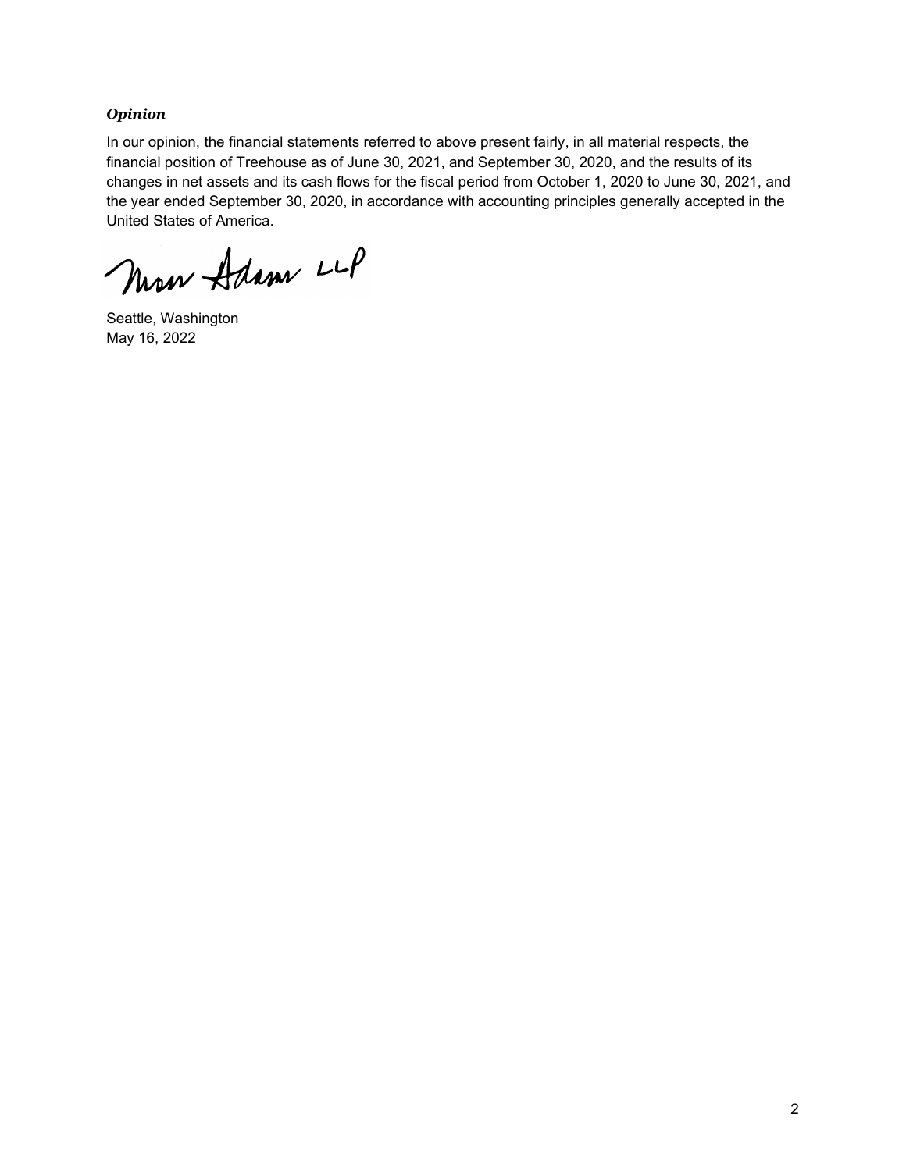## *Opinion*

In our opinion, the financial statements referred to above present fairly, in all material respects, the financial position of Treehouse as of June 30, 2021, and September 30, 2020, and the results of its changes in net assets and its cash flows for the fiscal period from October 1, 2020 to June 30, 2021, and the year ended September 30, 2020, in accordance with accounting principles generally accepted in the United States of America.

New Adam LLP

Seattle, Washington May 16, 2022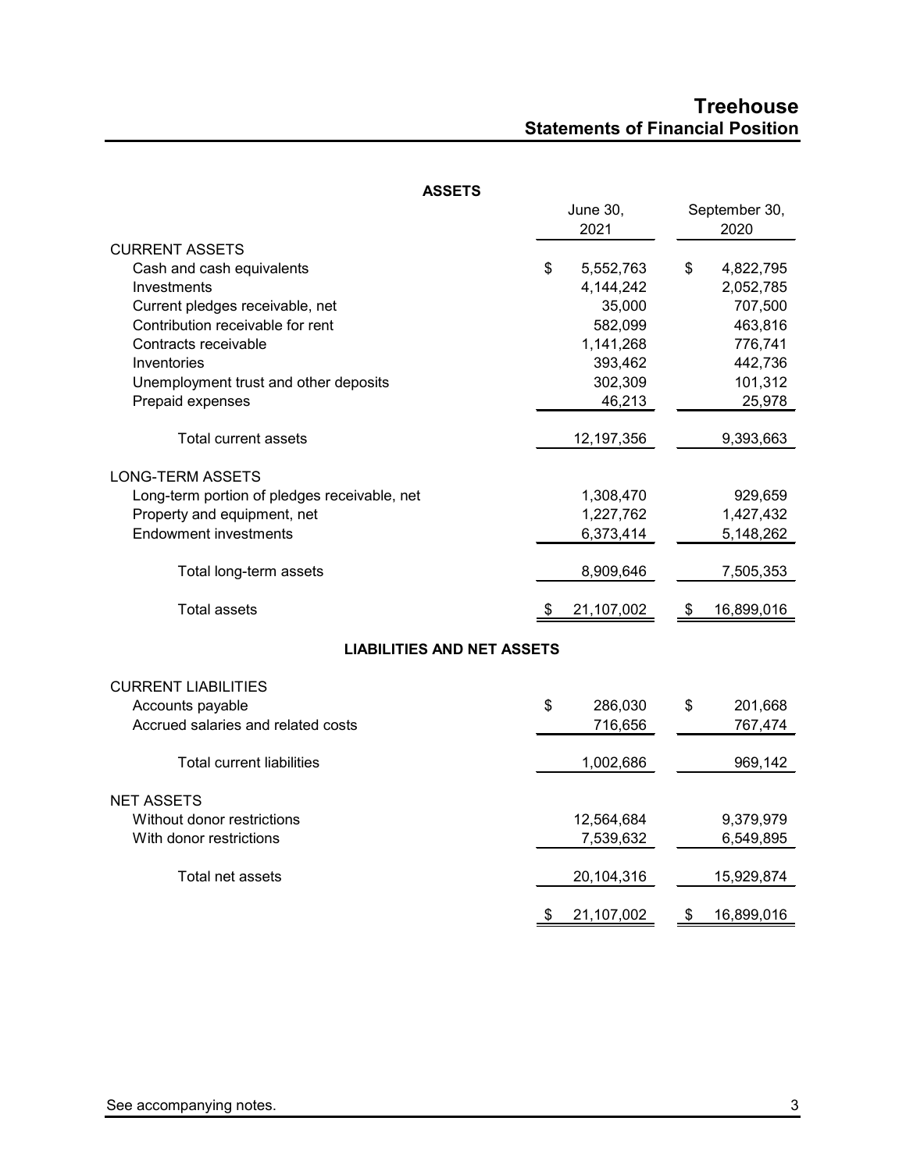# **Treehouse Statements of Financial Position**

| ASSEIS                                       |    |                 |                  |
|----------------------------------------------|----|-----------------|------------------|
|                                              |    | <b>June 30,</b> | September 30,    |
|                                              |    | 2021            | 2020             |
| <b>CURRENT ASSETS</b>                        |    |                 |                  |
| Cash and cash equivalents                    | \$ | 5,552,763       | \$<br>4,822,795  |
| Investments                                  |    | 4,144,242       | 2,052,785        |
| Current pledges receivable, net              |    | 35,000          | 707,500          |
| Contribution receivable for rent             |    | 582,099         | 463,816          |
| Contracts receivable                         |    | 1,141,268       | 776,741          |
| Inventories                                  |    | 393,462         | 442,736          |
| Unemployment trust and other deposits        |    | 302,309         | 101,312          |
| Prepaid expenses                             |    | 46,213          | 25,978           |
|                                              |    |                 |                  |
| Total current assets                         |    | 12,197,356      | 9,393,663        |
|                                              |    |                 |                  |
| <b>LONG-TERM ASSETS</b>                      |    |                 |                  |
| Long-term portion of pledges receivable, net |    | 1,308,470       | 929,659          |
| Property and equipment, net                  |    | 1,227,762       | 1,427,432        |
| <b>Endowment investments</b>                 |    | 6,373,414       | 5,148,262        |
|                                              |    |                 |                  |
| Total long-term assets                       |    | 8,909,646       | 7,505,353        |
| <b>Total assets</b>                          | S  | 21,107,002      | \$<br>16,899,016 |
|                                              |    |                 |                  |
| <b>LIABILITIES AND NET ASSETS</b>            |    |                 |                  |
| <b>CURRENT LIABILITIES</b>                   |    |                 |                  |
| Accounts payable                             | \$ | 286,030         | \$<br>201,668    |
| Accrued salaries and related costs           |    | 716,656         | 767,474          |
|                                              |    |                 |                  |
| <b>Total current liabilities</b>             |    | 1,002,686       | 969,142          |
|                                              |    |                 |                  |
| <b>NET ASSETS</b>                            |    |                 |                  |
| Without donor restrictions                   |    | 12,564,684      | 9,379,979        |
| With donor restrictions                      |    | 7,539,632       | 6,549,895        |
|                                              |    |                 |                  |
| Total net assets                             |    | 20,104,316      | 15,929,874       |
|                                              | \$ | 21,107,002      | \$<br>16,899,016 |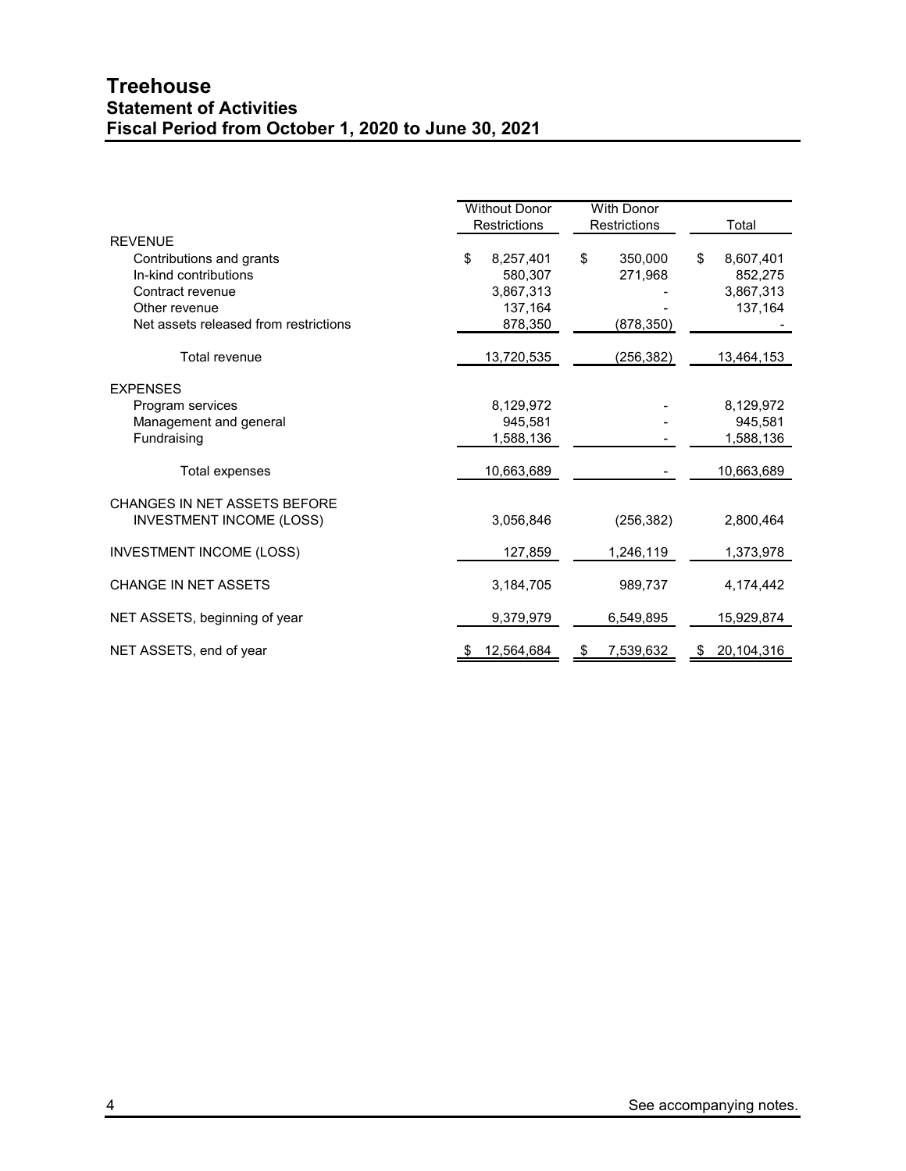# **Treehouse Statement of Activities Fiscal Period from October 1, 2020 to June 30, 2021**

|                                       | <b>Without Donor</b><br>Restrictions | <b>With Donor</b><br><b>Restrictions</b> | Total            |
|---------------------------------------|--------------------------------------|------------------------------------------|------------------|
| <b>REVENUE</b>                        |                                      |                                          |                  |
| Contributions and grants              | 8,257,401<br>\$                      | \$<br>350,000                            | \$<br>8,607,401  |
| In-kind contributions                 | 580,307                              | 271,968                                  | 852,275          |
| Contract revenue                      | 3,867,313                            |                                          | 3,867,313        |
| Other revenue                         | 137,164                              |                                          | 137,164          |
| Net assets released from restrictions | 878,350                              | (878,350)                                |                  |
|                                       |                                      |                                          |                  |
| Total revenue                         | 13,720,535                           | (256,382)                                | 13,464,153       |
| <b>EXPENSES</b>                       |                                      |                                          |                  |
| Program services                      | 8,129,972                            |                                          | 8,129,972        |
| Management and general                | 945,581                              |                                          | 945,581          |
| Fundraising                           | 1,588,136                            |                                          | 1,588,136        |
|                                       |                                      |                                          |                  |
| Total expenses                        | 10,663,689                           |                                          | 10,663,689       |
| CHANGES IN NET ASSETS BEFORE          |                                      |                                          |                  |
| <b>INVESTMENT INCOME (LOSS)</b>       | 3,056,846                            | (256, 382)                               | 2,800,464        |
| <b>INVESTMENT INCOME (LOSS)</b>       | 127,859                              |                                          | 1,373,978        |
|                                       |                                      | 1,246,119                                |                  |
| <b>CHANGE IN NET ASSETS</b>           | 3,184,705                            | 989,737                                  | 4,174,442        |
| NET ASSETS, beginning of year         | 9,379,979                            | 6,549,895                                | 15,929,874       |
| NET ASSETS, end of year               | 12,564,684                           | 7,539,632                                | 20,104,316<br>\$ |
|                                       |                                      |                                          |                  |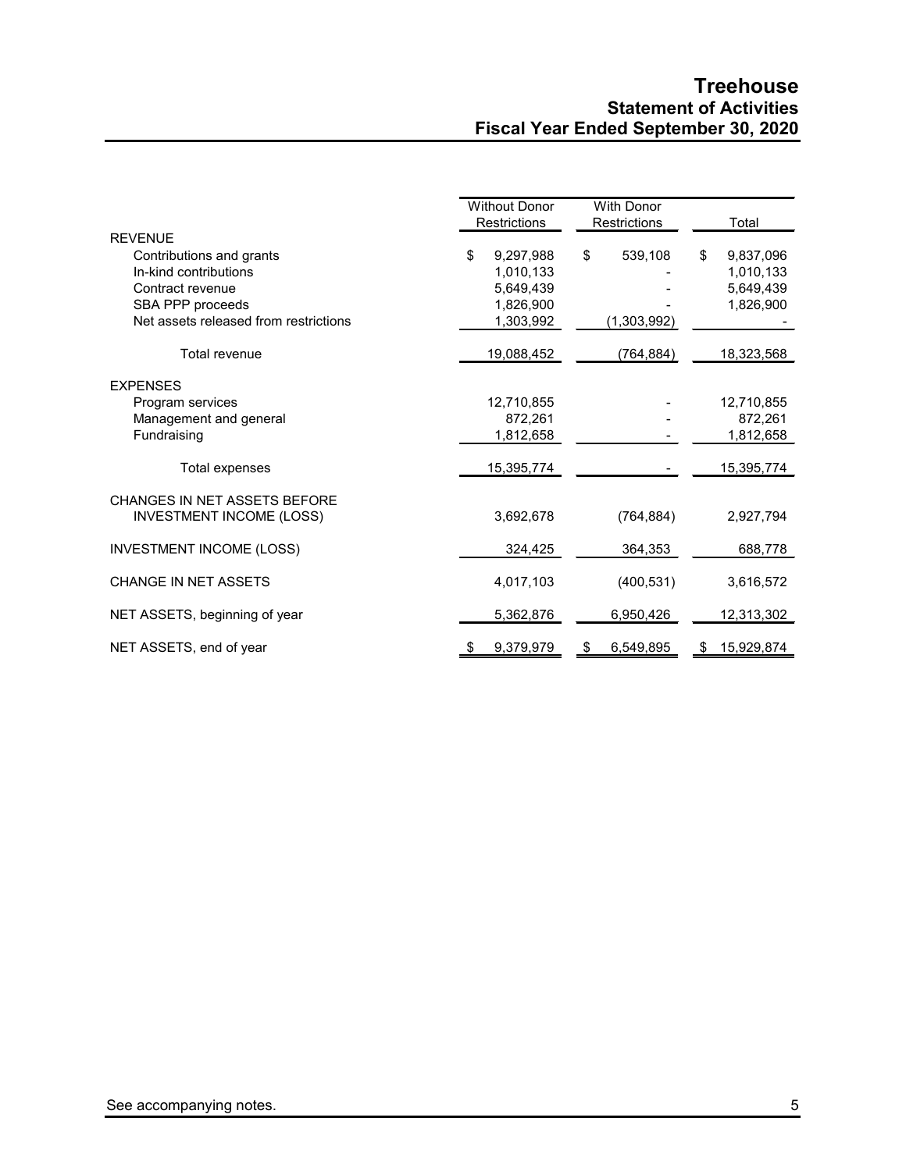# **Treehouse Statement of Activities Fiscal Year Ended September 30, 2020**

|                                       | <b>Without Donor</b><br><b>Restrictions</b> | <b>With Donor</b><br>Restrictions | Total            |
|---------------------------------------|---------------------------------------------|-----------------------------------|------------------|
| <b>REVENUE</b>                        |                                             |                                   |                  |
| Contributions and grants              | \$<br>9,297,988                             | 539,108<br>\$                     | \$<br>9,837,096  |
| In-kind contributions                 | 1.010.133                                   |                                   | 1,010,133        |
| Contract revenue                      | 5,649,439                                   |                                   | 5,649,439        |
| SBA PPP proceeds                      | 1,826,900                                   |                                   | 1,826,900        |
| Net assets released from restrictions | 1,303,992                                   | (1,303,992)                       |                  |
| Total revenue                         | 19,088,452                                  | (764, 884)                        | 18,323,568       |
| <b>EXPENSES</b>                       |                                             |                                   |                  |
| Program services                      | 12,710,855                                  |                                   | 12,710,855       |
| Management and general                | 872,261                                     |                                   | 872,261          |
| Fundraising                           | 1,812,658                                   |                                   | 1,812,658        |
| Total expenses                        | 15,395,774                                  |                                   | 15,395,774       |
| CHANGES IN NET ASSETS BEFORE          |                                             |                                   |                  |
| <b>INVESTMENT INCOME (LOSS)</b>       | 3,692,678                                   | (764, 884)                        | 2,927,794        |
| <b>INVESTMENT INCOME (LOSS)</b>       | 324,425                                     | 364,353                           | 688,778          |
| <b>CHANGE IN NET ASSETS</b>           | 4,017,103                                   | (400, 531)                        | 3,616,572        |
| NET ASSETS, beginning of year         | 5,362,876                                   | 6,950,426                         | 12,313,302       |
| NET ASSETS, end of year               | 9,379,979<br>\$                             | 6,549,895<br>\$                   | 15,929,874<br>\$ |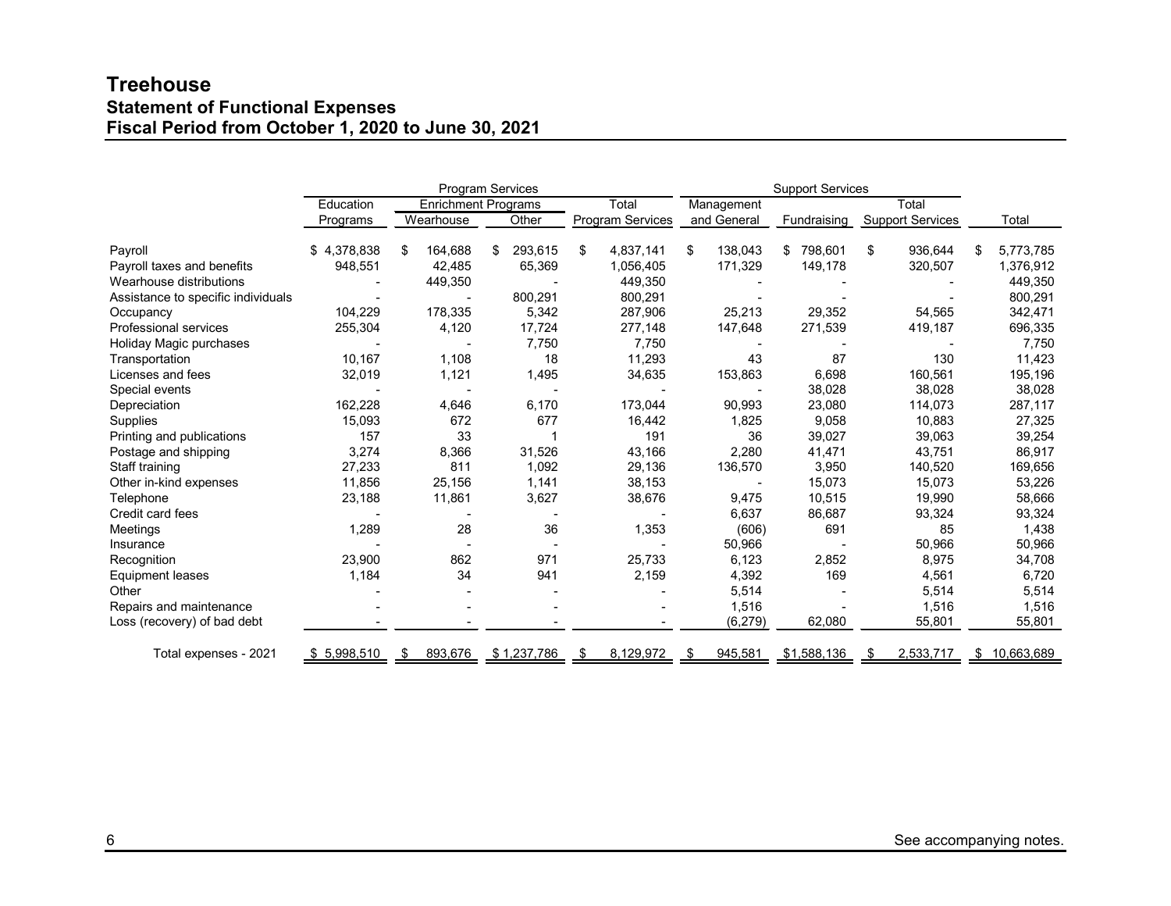# **Treehouse Statement of Functional Expenses Fiscal Period from October 1, 2020 to June 30, 2021**

|                                    | <b>Program Services</b> |               |                            |                  | <b>Support Services</b> |               |                         |                  |
|------------------------------------|-------------------------|---------------|----------------------------|------------------|-------------------------|---------------|-------------------------|------------------|
|                                    | Education               |               | <b>Enrichment Programs</b> | Total            | Management              |               | Total                   |                  |
|                                    | Programs                | Wearhouse     | Other                      | Program Services | and General             | Fundraising   | <b>Support Services</b> | Total            |
| Payroll                            | \$4,378,838             | 164,688<br>\$ | 293,615<br>\$              | \$<br>4,837,141  | 138,043<br>\$           | 798,601<br>\$ | 936,644<br>\$           | 5,773,785<br>\$  |
| Payroll taxes and benefits         | 948,551                 | 42,485        | 65,369                     | 1,056,405        | 171,329                 | 149,178       | 320,507                 | 1,376,912        |
| Wearhouse distributions            |                         | 449,350       |                            | 449,350          |                         |               |                         | 449,350          |
| Assistance to specific individuals |                         |               | 800,291                    | 800,291          |                         |               |                         | 800,291          |
| Occupancy                          | 104,229                 | 178,335       | 5,342                      | 287,906          | 25,213                  | 29,352        | 54,565                  | 342,471          |
| <b>Professional services</b>       | 255,304                 | 4,120         | 17,724                     | 277,148          | 147,648                 | 271,539       | 419,187                 | 696,335          |
| Holiday Magic purchases            |                         |               | 7,750                      | 7,750            |                         |               |                         | 7,750            |
| Transportation                     | 10,167                  | 1,108         | 18                         | 11,293           | 43                      | 87            | 130                     | 11,423           |
| Licenses and fees                  | 32,019                  | 1,121         | 1,495                      | 34,635           | 153,863                 | 6,698         | 160,561                 | 195,196          |
| Special events                     |                         |               |                            |                  |                         | 38,028        | 38,028                  | 38,028           |
| Depreciation                       | 162,228                 | 4,646         | 6.170                      | 173,044          | 90,993                  | 23,080        | 114,073                 | 287,117          |
| Supplies                           | 15,093                  | 672           | 677                        | 16,442           | 1,825                   | 9,058         | 10,883                  | 27,325           |
| Printing and publications          | 157                     | 33            |                            | 191              | 36                      | 39,027        | 39,063                  | 39,254           |
| Postage and shipping               | 3,274                   | 8,366         | 31,526                     | 43,166           | 2,280                   | 41,471        | 43,751                  | 86,917           |
| Staff training                     | 27,233                  | 811           | 1,092                      | 29,136           | 136,570                 | 3,950         | 140,520                 | 169,656          |
| Other in-kind expenses             | 11,856                  | 25,156        | 1,141                      | 38,153           |                         | 15,073        | 15,073                  | 53,226           |
| Telephone                          | 23,188                  | 11,861        | 3,627                      | 38,676           | 9,475                   | 10,515        | 19,990                  | 58,666           |
| Credit card fees                   |                         |               |                            |                  | 6,637                   | 86,687        | 93,324                  | 93,324           |
| Meetings                           | 1,289                   | 28            | 36                         | 1,353            | (606)                   | 691           | 85                      | 1,438            |
| Insurance                          |                         |               |                            |                  | 50,966                  |               | 50,966                  | 50,966           |
| Recognition                        | 23,900                  | 862           | 971                        | 25,733           | 6,123                   | 2,852         | 8,975                   | 34,708           |
| <b>Equipment leases</b>            | 1,184                   | 34            | 941                        | 2,159            | 4,392                   | 169           | 4,561                   | 6,720            |
| Other                              |                         |               |                            |                  | 5,514                   |               | 5,514                   | 5,514            |
| Repairs and maintenance            |                         |               |                            |                  | 1,516                   |               | 1,516                   | 1,516            |
| Loss (recovery) of bad debt        |                         |               |                            |                  | (6, 279)                | 62,080        | 55,801                  | 55,801           |
| Total expenses - 2021              | \$5,998,510             | 893,676<br>\$ | \$1,237,786                | 8,129,972<br>\$  | 945,581<br>- \$         | \$1,588,136   | 2,533,717               | 10,663,689<br>\$ |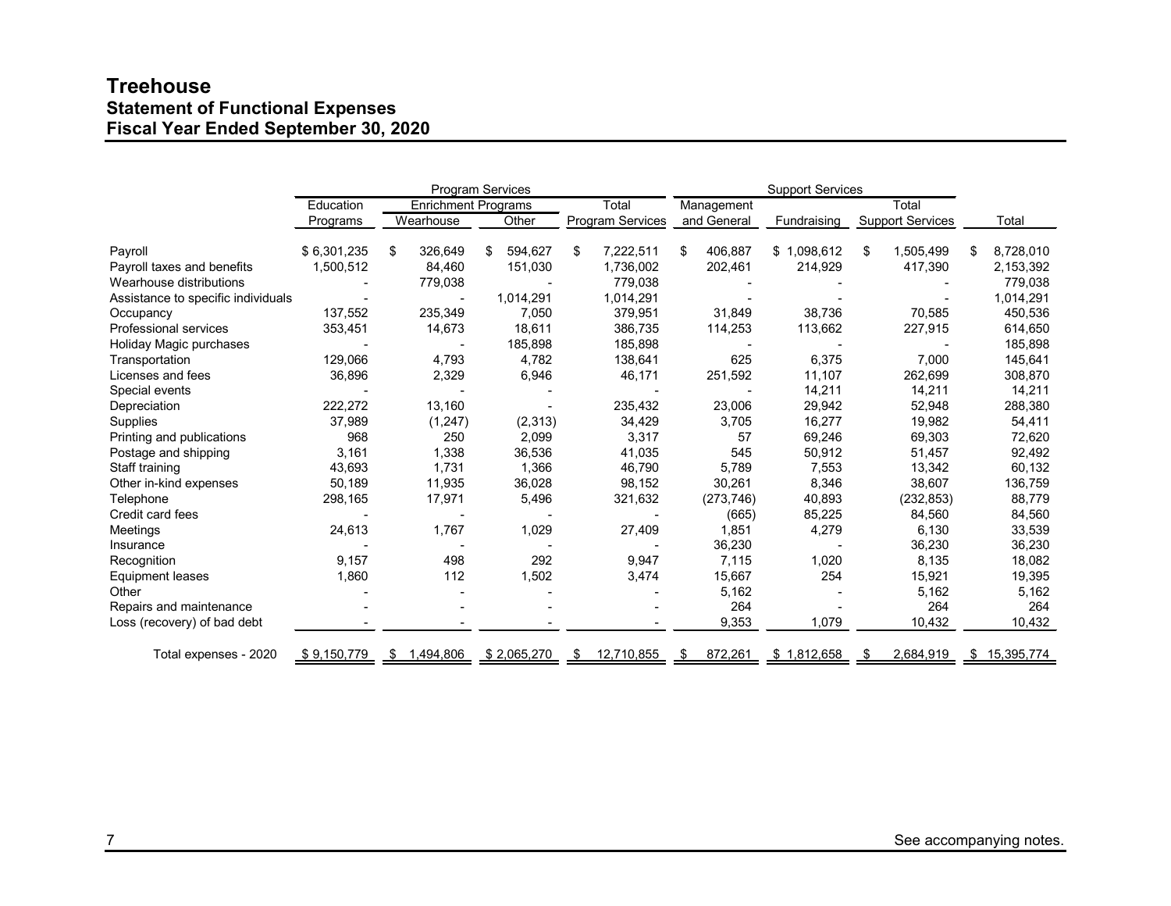# **Treehouse Statement of Functional Expenses Fiscal Year Ended September 30, 2020**

| <b>Program Services</b>            |             |                            |               | <b>Support Services</b> |                     |             |                         |                 |
|------------------------------------|-------------|----------------------------|---------------|-------------------------|---------------------|-------------|-------------------------|-----------------|
|                                    | Education   | <b>Enrichment Programs</b> |               | Total                   | Total<br>Management |             |                         |                 |
|                                    | Programs    | Wearhouse                  | Other         | <b>Program Services</b> | and General         | Fundraising | <b>Support Services</b> | Total           |
| Payroll                            | \$6,301,235 | \$<br>326,649              | 594,627<br>\$ | 7,222,511<br>\$         | 406,887<br>\$       | \$1,098,612 | 1,505,499<br>\$         | \$<br>8,728,010 |
| Payroll taxes and benefits         | 1,500,512   | 84,460                     | 151,030       | 1,736,002               | 202,461             | 214,929     | 417,390                 | 2,153,392       |
| Wearhouse distributions            |             | 779,038                    |               | 779,038                 |                     |             |                         | 779,038         |
| Assistance to specific individuals |             |                            | 1,014,291     | 1,014,291               |                     |             |                         | 1,014,291       |
| Occupancy                          | 137,552     | 235,349                    | 7,050         | 379,951                 | 31,849              | 38,736      | 70,585                  | 450,536         |
| Professional services              | 353,451     | 14,673                     | 18,611        | 386,735                 | 114,253             | 113,662     | 227,915                 | 614,650         |
| Holiday Magic purchases            |             |                            | 185,898       | 185,898                 |                     |             |                         | 185,898         |
| Transportation                     | 129,066     | 4,793                      | 4,782         | 138,641                 | 625                 | 6,375       | 7,000                   | 145,641         |
| Licenses and fees                  | 36,896      | 2,329                      | 6,946         | 46,171                  | 251,592             | 11,107      | 262,699                 | 308,870         |
| Special events                     |             |                            |               |                         |                     | 14,211      | 14,211                  | 14,211          |
| Depreciation                       | 222,272     | 13,160                     |               | 235,432                 | 23,006              | 29,942      | 52,948                  | 288,380         |
| Supplies                           | 37,989      | (1, 247)                   | (2,313)       | 34,429                  | 3,705               | 16,277      | 19,982                  | 54,411          |
| Printing and publications          | 968         | 250                        | 2,099         | 3,317                   | 57                  | 69,246      | 69,303                  | 72,620          |
| Postage and shipping               | 3,161       | 1,338                      | 36,536        | 41,035                  | 545                 | 50,912      | 51,457                  | 92,492          |
| Staff training                     | 43,693      | 1,731                      | 1,366         | 46,790                  | 5,789               | 7,553       | 13,342                  | 60,132          |
| Other in-kind expenses             | 50,189      | 11,935                     | 36,028        | 98,152                  | 30,261              | 8,346       | 38,607                  | 136,759         |
| Telephone                          | 298,165     | 17,971                     | 5,496         | 321,632                 | (273, 746)          | 40,893      | (232, 853)              | 88,779          |
| Credit card fees                   |             |                            |               |                         | (665)               | 85,225      | 84,560                  | 84,560          |
| Meetings                           | 24,613      | 1,767                      | 1,029         | 27,409                  | 1,851               | 4,279       | 6,130                   | 33,539          |
| Insurance                          |             |                            |               |                         | 36,230              |             | 36,230                  | 36,230          |
| Recognition                        | 9,157       | 498                        | 292           | 9,947                   | 7,115               | 1,020       | 8,135                   | 18,082          |
| <b>Equipment leases</b>            | 1,860       | 112                        | 1,502         | 3,474                   | 15,667              | 254         | 15,921                  | 19,395          |
| Other                              |             |                            |               |                         | 5,162               |             | 5,162                   | 5,162           |
| Repairs and maintenance            |             |                            |               |                         | 264                 |             | 264                     | 264             |
| Loss (recovery) of bad debt        |             |                            |               |                         | 9,353               | 1,079       | 10,432                  | 10,432          |
| Total expenses - 2020              | \$9,150,779 | 1,494,806<br>\$            | \$2,065,270   | 12,710,855<br>S         | 872,261<br>\$       | \$1,812,658 | 2,684,919               | \$15,395,774    |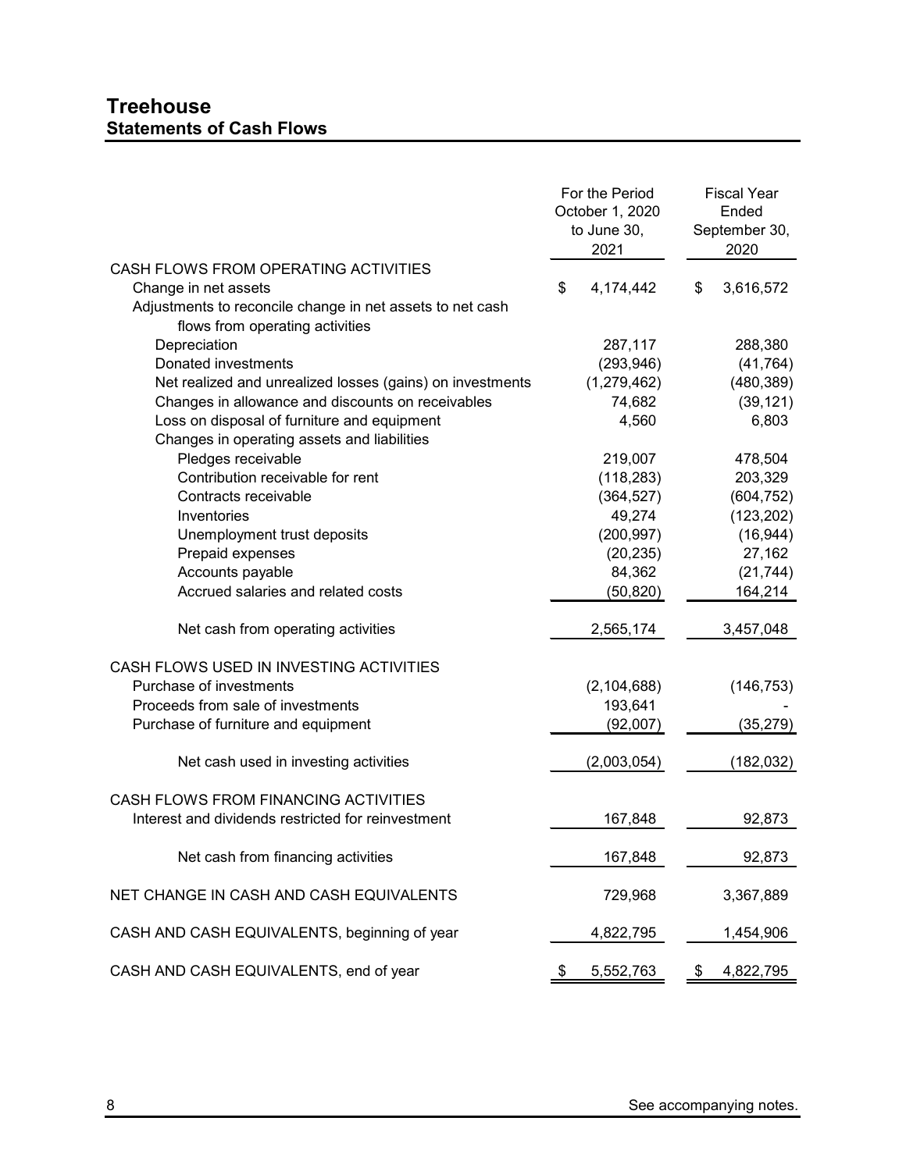|                                                                                              | For the Period<br>October 1, 2020<br>to June 30,<br>2021 | <b>Fiscal Year</b><br>Ended<br>September 30,<br>2020 |
|----------------------------------------------------------------------------------------------|----------------------------------------------------------|------------------------------------------------------|
| CASH FLOWS FROM OPERATING ACTIVITIES                                                         |                                                          |                                                      |
| Change in net assets                                                                         | \$<br>4,174,442                                          | \$<br>3,616,572                                      |
| Adjustments to reconcile change in net assets to net cash<br>flows from operating activities |                                                          |                                                      |
| Depreciation                                                                                 | 287,117                                                  | 288,380                                              |
| Donated investments                                                                          | (293, 946)                                               | (41, 764)                                            |
| Net realized and unrealized losses (gains) on investments                                    | (1,279,462)                                              | (480, 389)                                           |
| Changes in allowance and discounts on receivables                                            | 74,682                                                   | (39, 121)                                            |
| Loss on disposal of furniture and equipment<br>Changes in operating assets and liabilities   | 4,560                                                    | 6,803                                                |
| Pledges receivable                                                                           | 219,007                                                  | 478,504                                              |
| Contribution receivable for rent                                                             | (118, 283)                                               | 203,329                                              |
| Contracts receivable                                                                         | (364, 527)                                               | (604, 752)                                           |
| Inventories                                                                                  | 49,274                                                   | (123, 202)                                           |
| Unemployment trust deposits                                                                  | (200, 997)                                               | (16, 944)                                            |
| Prepaid expenses                                                                             | (20, 235)                                                | 27,162                                               |
| Accounts payable                                                                             | 84,362                                                   | (21, 744)                                            |
| Accrued salaries and related costs                                                           | (50, 820)                                                | 164,214                                              |
| Net cash from operating activities                                                           | 2,565,174                                                | 3,457,048                                            |
| CASH FLOWS USED IN INVESTING ACTIVITIES                                                      |                                                          |                                                      |
| Purchase of investments                                                                      | (2, 104, 688)                                            | (146, 753)                                           |
| Proceeds from sale of investments                                                            | 193,641                                                  |                                                      |
| Purchase of furniture and equipment                                                          | (92,007)                                                 | (35, 279)                                            |
| Net cash used in investing activities                                                        | (2,003,054)                                              | (182, 032)                                           |
| CASH FLOWS FROM FINANCING ACTIVITIES                                                         |                                                          |                                                      |
| Interest and dividends restricted for reinvestment                                           | 167,848                                                  | 92,873                                               |
| Net cash from financing activities                                                           | 167,848                                                  | 92,873                                               |
| NET CHANGE IN CASH AND CASH EQUIVALENTS                                                      | 729,968                                                  | 3,367,889                                            |
| CASH AND CASH EQUIVALENTS, beginning of year                                                 | 4,822,795                                                | 1,454,906                                            |
| CASH AND CASH EQUIVALENTS, end of year                                                       | \$<br>5,552,763                                          | \$<br>4,822,795                                      |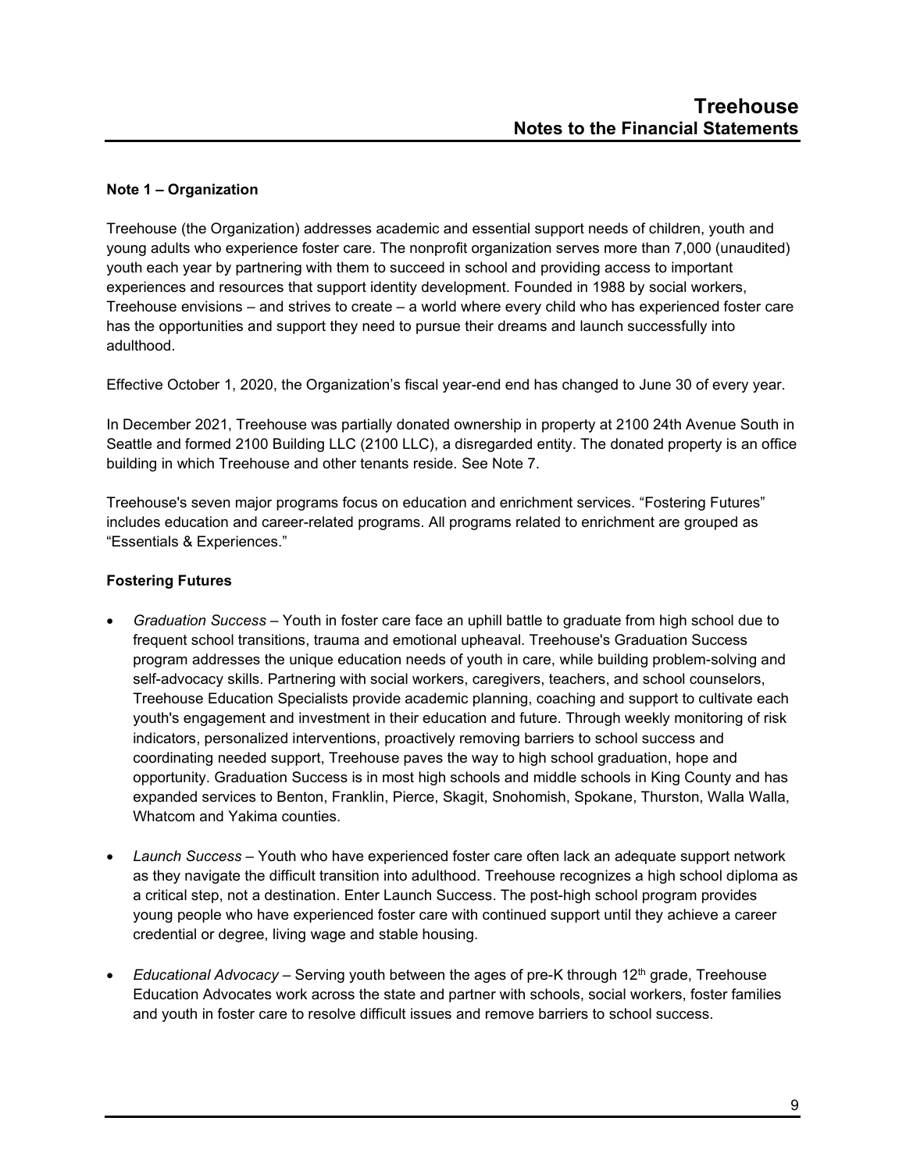# **Note 1 – Organization**

Treehouse (the Organization) addresses academic and essential support needs of children, youth and young adults who experience foster care. The nonprofit organization serves more than 7,000 (unaudited) youth each year by partnering with them to succeed in school and providing access to important experiences and resources that support identity development. Founded in 1988 by social workers, Treehouse envisions – and strives to create – a world where every child who has experienced foster care has the opportunities and support they need to pursue their dreams and launch successfully into adulthood.

Effective October 1, 2020, the Organization's fiscal year-end end has changed to June 30 of every year.

In December 2021, Treehouse was partially donated ownership in property at 2100 24th Avenue South in Seattle and formed 2100 Building LLC (2100 LLC), a disregarded entity. The donated property is an office building in which Treehouse and other tenants reside. See Note 7.

Treehouse's seven major programs focus on education and enrichment services. "Fostering Futures" includes education and career-related programs. All programs related to enrichment are grouped as "Essentials & Experiences."

# **Fostering Futures**

- *Graduation Success* Youth in foster care face an uphill battle to graduate from high school due to frequent school transitions, trauma and emotional upheaval. Treehouse's Graduation Success program addresses the unique education needs of youth in care, while building problem-solving and self-advocacy skills. Partnering with social workers, caregivers, teachers, and school counselors, Treehouse Education Specialists provide academic planning, coaching and support to cultivate each youth's engagement and investment in their education and future. Through weekly monitoring of risk indicators, personalized interventions, proactively removing barriers to school success and coordinating needed support, Treehouse paves the way to high school graduation, hope and opportunity. Graduation Success is in most high schools and middle schools in King County and has expanded services to Benton, Franklin, Pierce, Skagit, Snohomish, Spokane, Thurston, Walla Walla, Whatcom and Yakima counties.
- *Launch Success* Youth who have experienced foster care often lack an adequate support network as they navigate the difficult transition into adulthood. Treehouse recognizes a high school diploma as a critical step, not a destination. Enter Launch Success. The post-high school program provides young people who have experienced foster care with continued support until they achieve a career credential or degree, living wage and stable housing.
- *Educational Advocacy* Serving youth between the ages of pre-K through 12<sup>th</sup> grade, Treehouse Education Advocates work across the state and partner with schools, social workers, foster families and youth in foster care to resolve difficult issues and remove barriers to school success.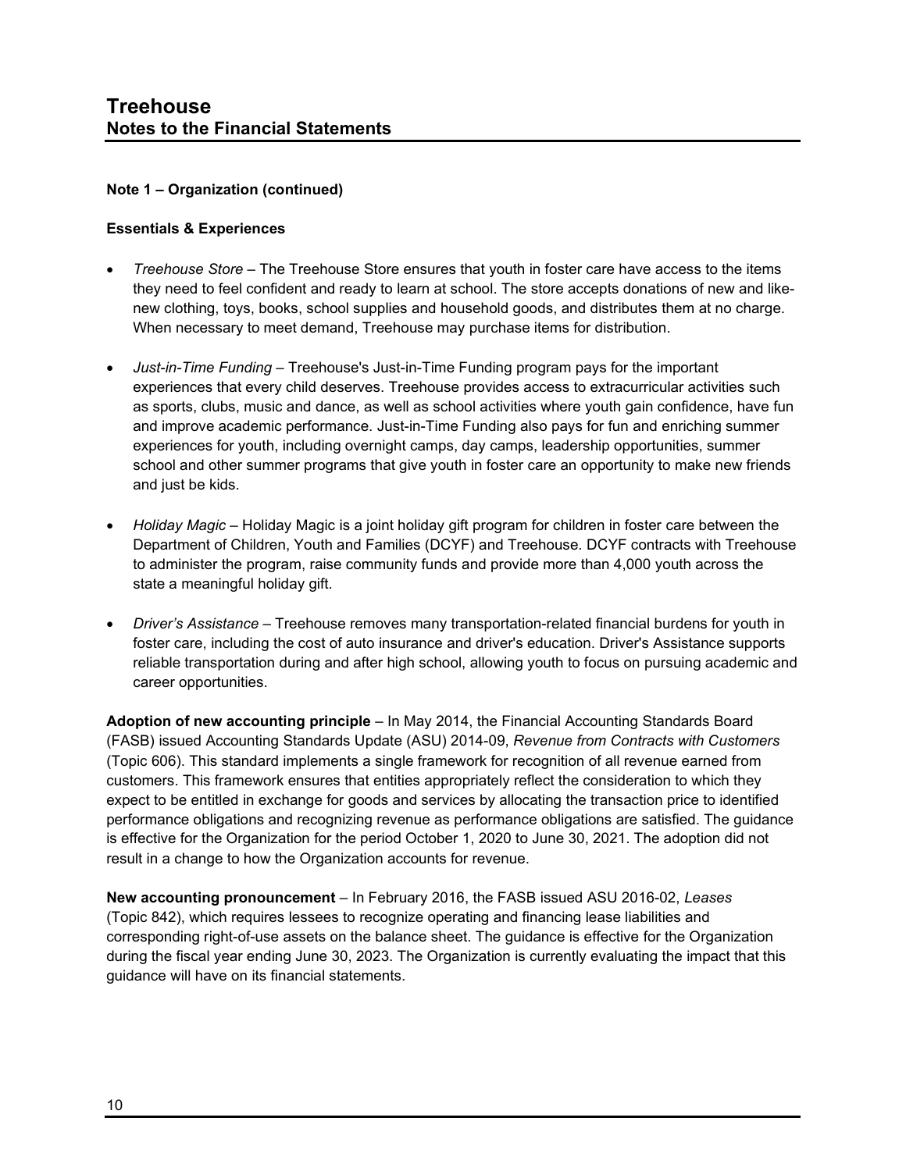# **Note 1 – Organization (continued)**

#### **Essentials & Experiences**

- *Treehouse Store* The Treehouse Store ensures that youth in foster care have access to the items they need to feel confident and ready to learn at school. The store accepts donations of new and likenew clothing, toys, books, school supplies and household goods, and distributes them at no charge. When necessary to meet demand, Treehouse may purchase items for distribution.
- *Just-in-Time Funding* Treehouse's Just-in-Time Funding program pays for the important experiences that every child deserves. Treehouse provides access to extracurricular activities such as sports, clubs, music and dance, as well as school activities where youth gain confidence, have fun and improve academic performance. Just-in-Time Funding also pays for fun and enriching summer experiences for youth, including overnight camps, day camps, leadership opportunities, summer school and other summer programs that give youth in foster care an opportunity to make new friends and just be kids.
- *Holiday Magic* Holiday Magic is a joint holiday gift program for children in foster care between the Department of Children, Youth and Families (DCYF) and Treehouse. DCYF contracts with Treehouse to administer the program, raise community funds and provide more than 4,000 youth across the state a meaningful holiday gift.
- *Driver's Assistance* Treehouse removes many transportation-related financial burdens for youth in foster care, including the cost of auto insurance and driver's education. Driver's Assistance supports reliable transportation during and after high school, allowing youth to focus on pursuing academic and career opportunities.

**Adoption of new accounting principle** – In May 2014, the Financial Accounting Standards Board (FASB) issued Accounting Standards Update (ASU) 2014-09, *Revenue from Contracts with Customers* (Topic 606). This standard implements a single framework for recognition of all revenue earned from customers. This framework ensures that entities appropriately reflect the consideration to which they expect to be entitled in exchange for goods and services by allocating the transaction price to identified performance obligations and recognizing revenue as performance obligations are satisfied. The guidance is effective for the Organization for the period October 1, 2020 to June 30, 2021. The adoption did not result in a change to how the Organization accounts for revenue.

**New accounting pronouncement** – In February 2016, the FASB issued ASU 2016-02, *Leases* (Topic 842), which requires lessees to recognize operating and financing lease liabilities and corresponding right-of-use assets on the balance sheet. The guidance is effective for the Organization during the fiscal year ending June 30, 2023. The Organization is currently evaluating the impact that this guidance will have on its financial statements.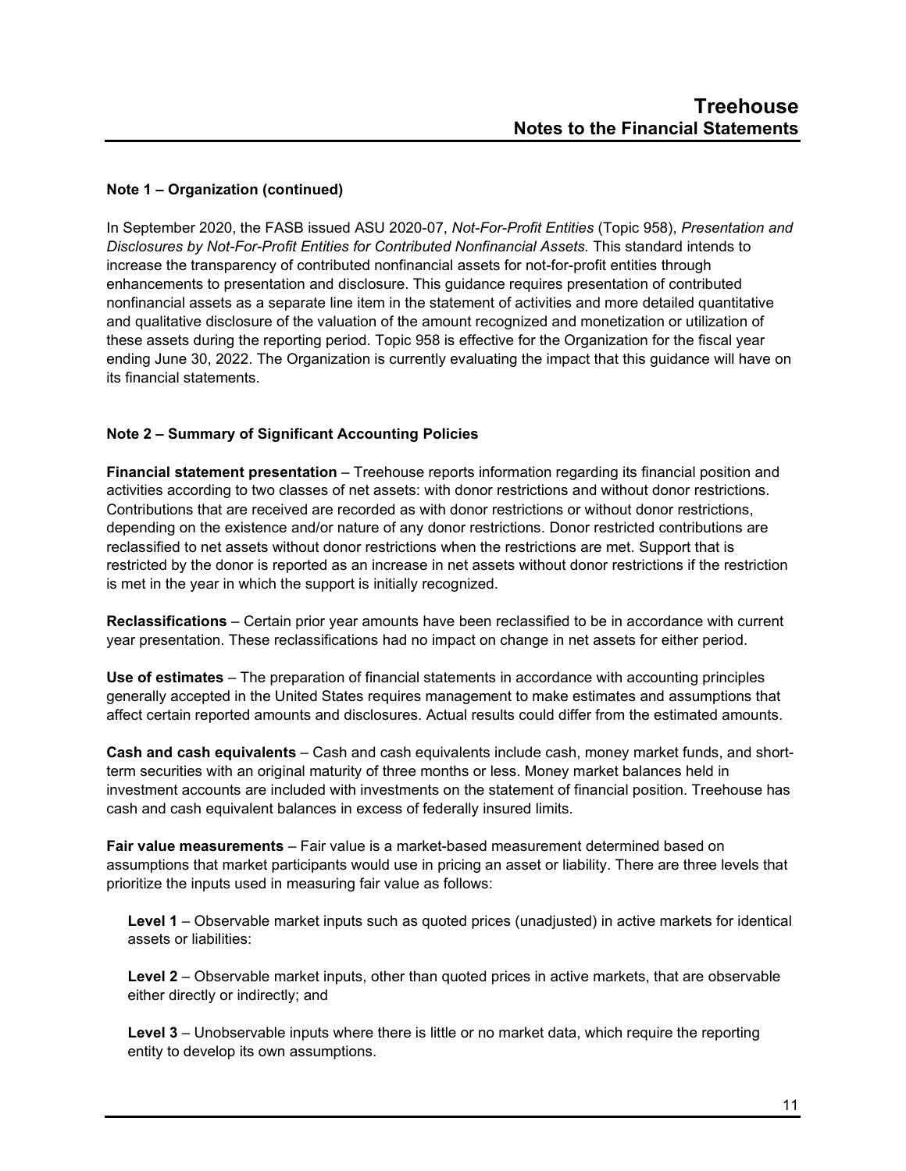# **Note 1 – Organization (continued)**

In September 2020, the FASB issued ASU 2020-07, *Not-For-Profit Entities* (Topic 958), *Presentation and Disclosures by Not-For-Profit Entities for Contributed Nonfinancial Assets.* This standard intends to increase the transparency of contributed nonfinancial assets for not-for-profit entities through enhancements to presentation and disclosure. This guidance requires presentation of contributed nonfinancial assets as a separate line item in the statement of activities and more detailed quantitative and qualitative disclosure of the valuation of the amount recognized and monetization or utilization of these assets during the reporting period. Topic 958 is effective for the Organization for the fiscal year ending June 30, 2022. The Organization is currently evaluating the impact that this guidance will have on its financial statements.

# **Note 2 – Summary of Significant Accounting Policies**

**Financial statement presentation** – Treehouse reports information regarding its financial position and activities according to two classes of net assets: with donor restrictions and without donor restrictions. Contributions that are received are recorded as with donor restrictions or without donor restrictions, depending on the existence and/or nature of any donor restrictions. Donor restricted contributions are reclassified to net assets without donor restrictions when the restrictions are met. Support that is restricted by the donor is reported as an increase in net assets without donor restrictions if the restriction is met in the year in which the support is initially recognized.

**Reclassifications** – Certain prior year amounts have been reclassified to be in accordance with current year presentation. These reclassifications had no impact on change in net assets for either period.

**Use of estimates** – The preparation of financial statements in accordance with accounting principles generally accepted in the United States requires management to make estimates and assumptions that affect certain reported amounts and disclosures. Actual results could differ from the estimated amounts.

**Cash and cash equivalents** – Cash and cash equivalents include cash, money market funds, and shortterm securities with an original maturity of three months or less. Money market balances held in investment accounts are included with investments on the statement of financial position. Treehouse has cash and cash equivalent balances in excess of federally insured limits.

**Fair value measurements** – Fair value is a market-based measurement determined based on assumptions that market participants would use in pricing an asset or liability. There are three levels that prioritize the inputs used in measuring fair value as follows:

**Level 1** – Observable market inputs such as quoted prices (unadjusted) in active markets for identical assets or liabilities:

**Level 2** – Observable market inputs, other than quoted prices in active markets, that are observable either directly or indirectly; and

**Level 3** – Unobservable inputs where there is little or no market data, which require the reporting entity to develop its own assumptions.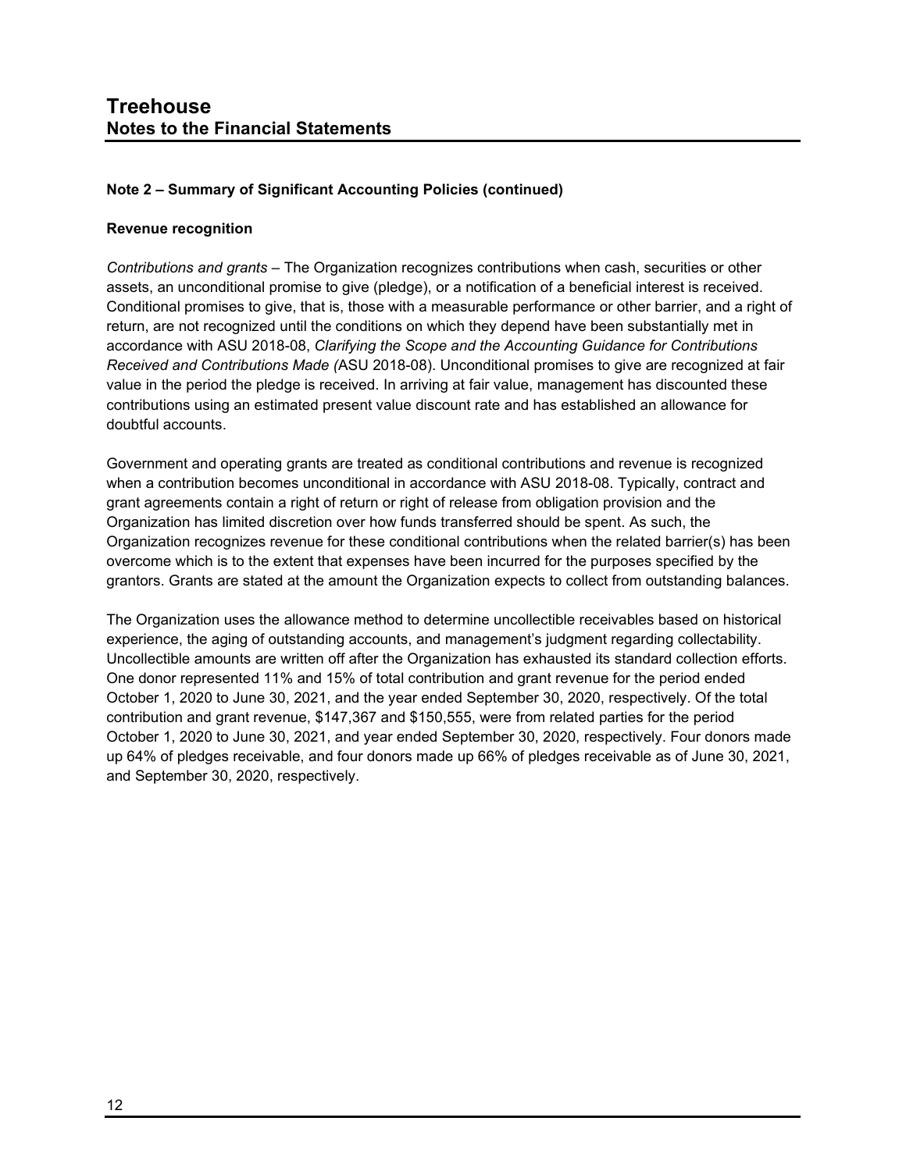#### **Revenue recognition**

*Contributions and grants* – The Organization recognizes contributions when cash, securities or other assets, an unconditional promise to give (pledge), or a notification of a beneficial interest is received. Conditional promises to give, that is, those with a measurable performance or other barrier, and a right of return, are not recognized until the conditions on which they depend have been substantially met in accordance with ASU 2018-08, *Clarifying the Scope and the Accounting Guidance for Contributions Received and Contributions Made (*ASU 2018-08). Unconditional promises to give are recognized at fair value in the period the pledge is received. In arriving at fair value, management has discounted these contributions using an estimated present value discount rate and has established an allowance for doubtful accounts.

Government and operating grants are treated as conditional contributions and revenue is recognized when a contribution becomes unconditional in accordance with ASU 2018-08. Typically, contract and grant agreements contain a right of return or right of release from obligation provision and the Organization has limited discretion over how funds transferred should be spent. As such, the Organization recognizes revenue for these conditional contributions when the related barrier(s) has been overcome which is to the extent that expenses have been incurred for the purposes specified by the grantors. Grants are stated at the amount the Organization expects to collect from outstanding balances.

The Organization uses the allowance method to determine uncollectible receivables based on historical experience, the aging of outstanding accounts, and management's judgment regarding collectability. Uncollectible amounts are written off after the Organization has exhausted its standard collection efforts. One donor represented 11% and 15% of total contribution and grant revenue for the period ended October 1, 2020 to June 30, 2021, and the year ended September 30, 2020, respectively. Of the total contribution and grant revenue, \$147,367 and \$150,555, were from related parties for the period October 1, 2020 to June 30, 2021, and year ended September 30, 2020, respectively. Four donors made up 64% of pledges receivable, and four donors made up 66% of pledges receivable as of June 30, 2021, and September 30, 2020, respectively.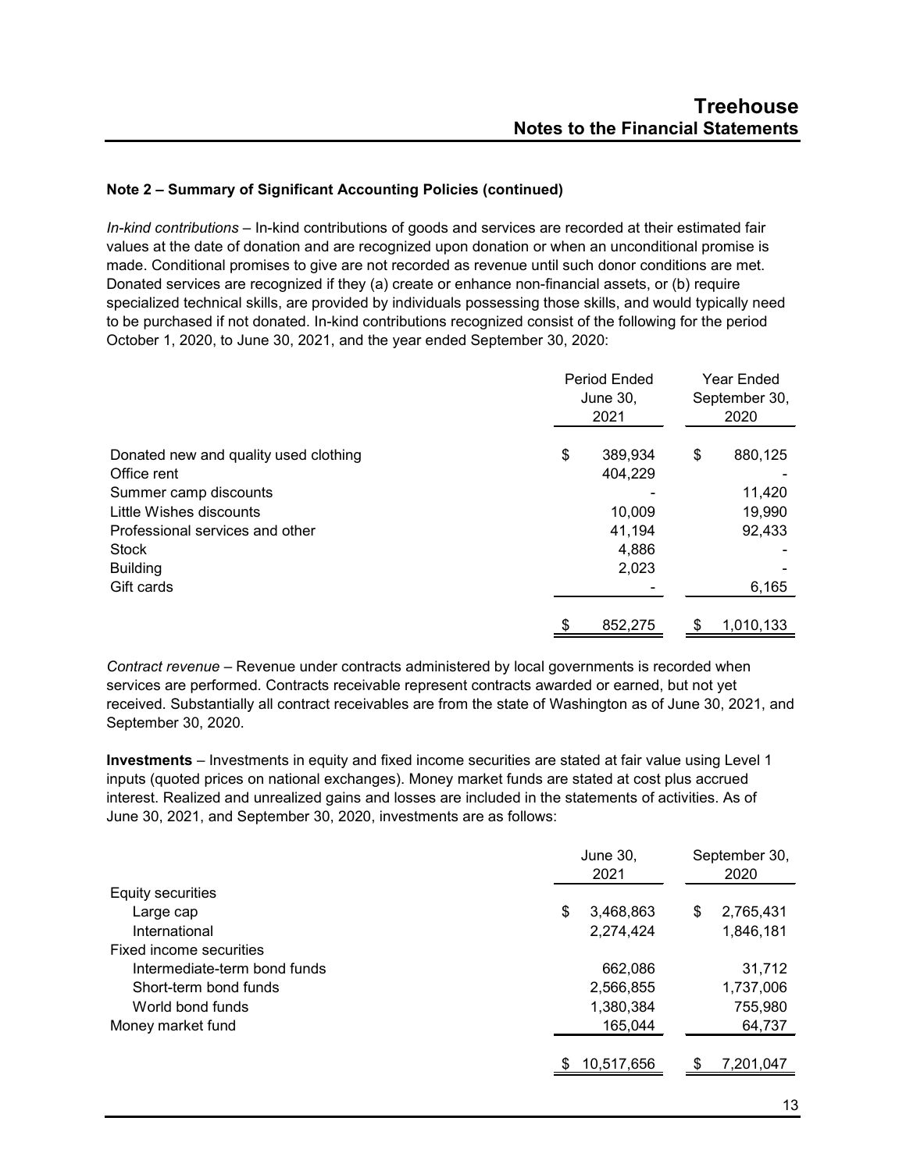*In-kind contributions* – In-kind contributions of goods and services are recorded at their estimated fair values at the date of donation and are recognized upon donation or when an unconditional promise is made. Conditional promises to give are not recorded as revenue until such donor conditions are met. Donated services are recognized if they (a) create or enhance non-financial assets, or (b) require specialized technical skills, are provided by individuals possessing those skills, and would typically need to be purchased if not donated. In-kind contributions recognized consist of the following for the period October 1, 2020, to June 30, 2021, and the year ended September 30, 2020:

|                                       | Period Ended<br>June 30,<br>2021 | <b>Year Ended</b><br>September 30,<br>2020 |
|---------------------------------------|----------------------------------|--------------------------------------------|
| Donated new and quality used clothing | \$<br>389,934                    | \$<br>880,125                              |
| Office rent                           | 404,229                          |                                            |
| Summer camp discounts                 |                                  | 11,420                                     |
| Little Wishes discounts               | 10,009                           | 19,990                                     |
| Professional services and other       | 41,194                           | 92,433                                     |
| <b>Stock</b>                          | 4,886                            |                                            |
| <b>Building</b>                       | 2,023                            |                                            |
| Gift cards                            |                                  | 6,165                                      |
|                                       | \$<br>852,275                    | \$<br>1,010,133                            |

*Contract revenue* – Revenue under contracts administered by local governments is recorded when services are performed. Contracts receivable represent contracts awarded or earned, but not yet received. Substantially all contract receivables are from the state of Washington as of June 30, 2021, and September 30, 2020.

**Investments** – Investments in equity and fixed income securities are stated at fair value using Level 1 inputs (quoted prices on national exchanges). Money market funds are stated at cost plus accrued interest. Realized and unrealized gains and losses are included in the statements of activities. As of June 30, 2021, and September 30, 2020, investments are as follows:

|                              | June 30,<br>2021 | September 30,<br>2020 |
|------------------------------|------------------|-----------------------|
| Equity securities            |                  |                       |
| Large cap                    | \$<br>3,468,863  | \$<br>2,765,431       |
| International                | 2,274,424        | 1,846,181             |
| Fixed income securities      |                  |                       |
| Intermediate-term bond funds | 662,086          | 31,712                |
| Short-term bond funds        | 2,566,855        | 1,737,006             |
| World bond funds             | 1,380,384        | 755,980               |
| Money market fund            | 165,044          | 64,737                |
|                              | 10,517,656       | 7,201,047             |
|                              |                  |                       |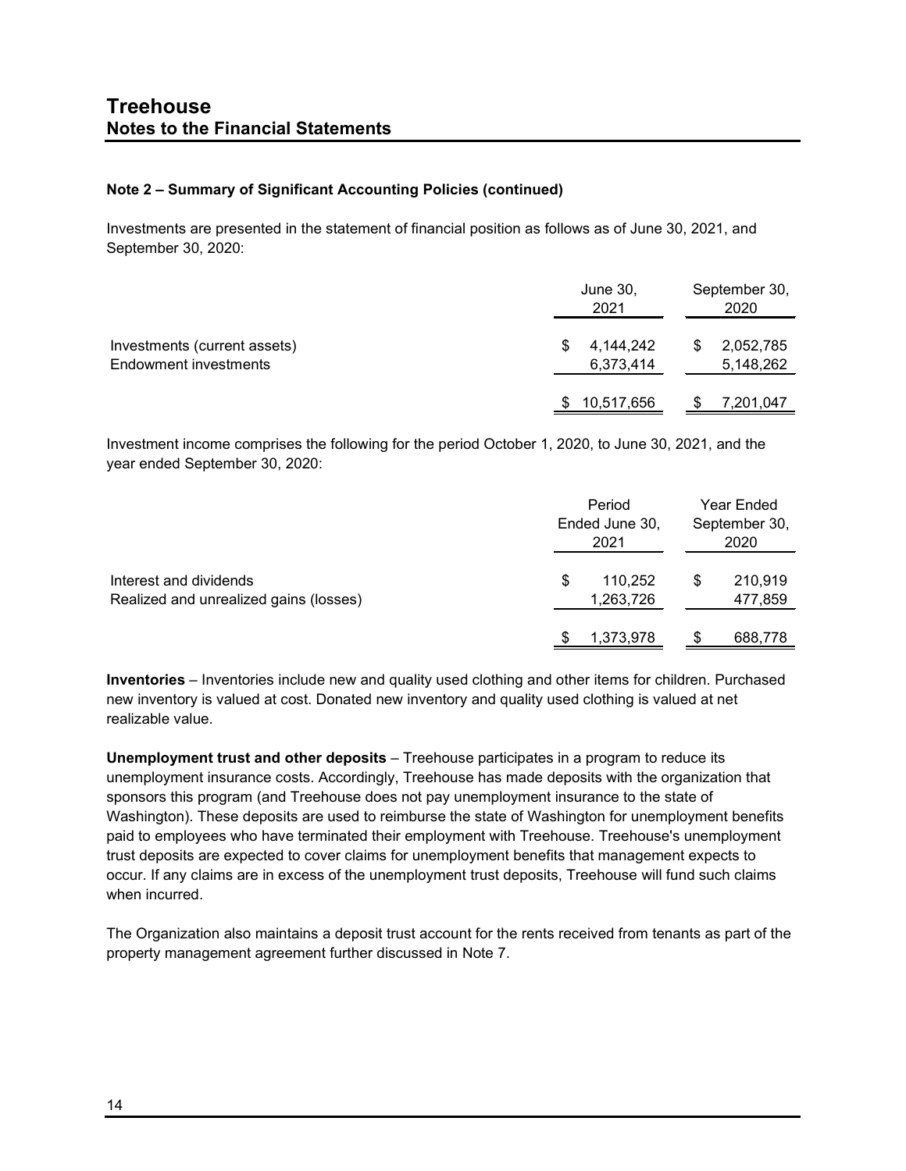Investments are presented in the statement of financial position as follows as of June 30, 2021, and September 30, 2020:

|                                                       | June 30,<br>2021            | September 30,<br>2020       |
|-------------------------------------------------------|-----------------------------|-----------------------------|
| Investments (current assets)<br>Endowment investments | 4.144.242<br>S<br>6,373,414 | 2,052,785<br>S<br>5,148,262 |
|                                                       | 10,517,656                  | 7,201,047                   |

Investment income comprises the following for the period October 1, 2020, to June 30, 2021, and the year ended September 30, 2020:

|                                                                  | Period<br>Ended June 30,<br>2021 | Year Ended<br>September 30,<br>2020 |
|------------------------------------------------------------------|----------------------------------|-------------------------------------|
| Interest and dividends<br>Realized and unrealized gains (losses) | 110.252<br>S<br>1,263,726        | 210,919<br>S<br>477,859             |
|                                                                  | 1,373,978                        | 688,778                             |

**Inventories** – Inventories include new and quality used clothing and other items for children. Purchased new inventory is valued at cost. Donated new inventory and quality used clothing is valued at net realizable value.

**Unemployment trust and other deposits** – Treehouse participates in a program to reduce its unemployment insurance costs. Accordingly, Treehouse has made deposits with the organization that sponsors this program (and Treehouse does not pay unemployment insurance to the state of Washington). These deposits are used to reimburse the state of Washington for unemployment benefits paid to employees who have terminated their employment with Treehouse. Treehouse's unemployment trust deposits are expected to cover claims for unemployment benefits that management expects to occur. If any claims are in excess of the unemployment trust deposits, Treehouse will fund such claims when incurred.

The Organization also maintains a deposit trust account for the rents received from tenants as part of the property management agreement further discussed in Note 7.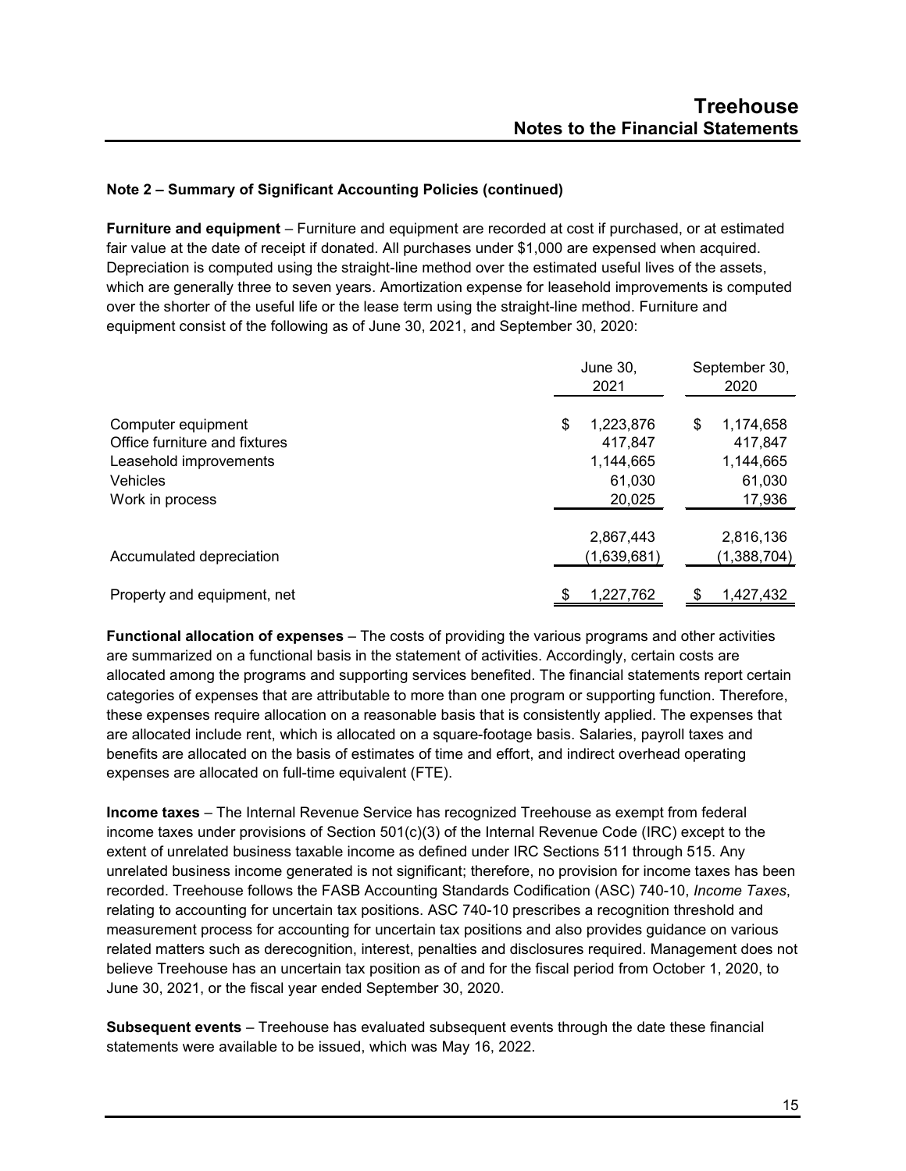**Furniture and equipment** – Furniture and equipment are recorded at cost if purchased, or at estimated fair value at the date of receipt if donated. All purchases under \$1,000 are expensed when acquired. Depreciation is computed using the straight-line method over the estimated useful lives of the assets, which are generally three to seven years. Amortization expense for leasehold improvements is computed over the shorter of the useful life or the lease term using the straight-line method. Furniture and equipment consist of the following as of June 30, 2021, and September 30, 2020:

|                                                                                                              | June 30,<br>2021                                            | September 30,<br>2020                                       |  |  |
|--------------------------------------------------------------------------------------------------------------|-------------------------------------------------------------|-------------------------------------------------------------|--|--|
| Computer equipment<br>Office furniture and fixtures<br>Leasehold improvements<br>Vehicles<br>Work in process | \$<br>1,223,876<br>417,847<br>1,144,665<br>61.030<br>20,025 | \$<br>1,174,658<br>417.847<br>1,144,665<br>61,030<br>17,936 |  |  |
| Accumulated depreciation                                                                                     | 2,867,443<br>(1,639,681)                                    | 2,816,136<br>(1,388,704)                                    |  |  |
| Property and equipment, net                                                                                  | 1.227.762<br>S                                              | 1.427.432<br>\$                                             |  |  |

**Functional allocation of expenses** – The costs of providing the various programs and other activities are summarized on a functional basis in the statement of activities. Accordingly, certain costs are allocated among the programs and supporting services benefited. The financial statements report certain categories of expenses that are attributable to more than one program or supporting function. Therefore, these expenses require allocation on a reasonable basis that is consistently applied. The expenses that are allocated include rent, which is allocated on a square-footage basis. Salaries, payroll taxes and benefits are allocated on the basis of estimates of time and effort, and indirect overhead operating expenses are allocated on full-time equivalent (FTE).

**Income taxes** – The Internal Revenue Service has recognized Treehouse as exempt from federal income taxes under provisions of Section 501(c)(3) of the Internal Revenue Code (IRC) except to the extent of unrelated business taxable income as defined under IRC Sections 511 through 515. Any unrelated business income generated is not significant; therefore, no provision for income taxes has been recorded. Treehouse follows the FASB Accounting Standards Codification (ASC) 740-10, *Income Taxes*, relating to accounting for uncertain tax positions. ASC 740-10 prescribes a recognition threshold and measurement process for accounting for uncertain tax positions and also provides guidance on various related matters such as derecognition, interest, penalties and disclosures required. Management does not believe Treehouse has an uncertain tax position as of and for the fiscal period from October 1, 2020, to June 30, 2021, or the fiscal year ended September 30, 2020.

**Subsequent events** – Treehouse has evaluated subsequent events through the date these financial statements were available to be issued, which was May 16, 2022.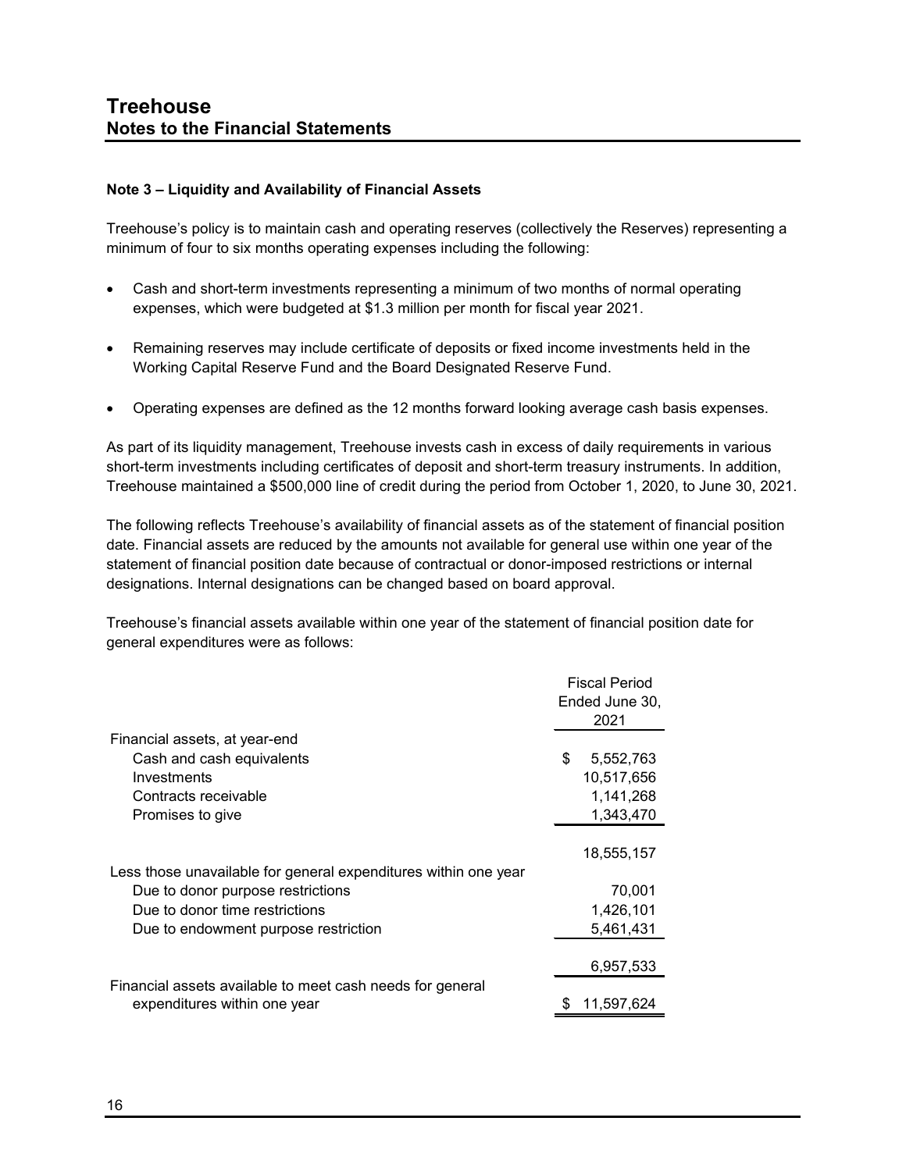#### **Note 3 – Liquidity and Availability of Financial Assets**

Treehouse's policy is to maintain cash and operating reserves (collectively the Reserves) representing a minimum of four to six months operating expenses including the following:

- Cash and short-term investments representing a minimum of two months of normal operating expenses, which were budgeted at \$1.3 million per month for fiscal year 2021.
- Remaining reserves may include certificate of deposits or fixed income investments held in the Working Capital Reserve Fund and the Board Designated Reserve Fund.
- Operating expenses are defined as the 12 months forward looking average cash basis expenses.

As part of its liquidity management, Treehouse invests cash in excess of daily requirements in various short-term investments including certificates of deposit and short-term treasury instruments. In addition, Treehouse maintained a \$500,000 line of credit during the period from October 1, 2020, to June 30, 2021.

The following reflects Treehouse's availability of financial assets as of the statement of financial position date. Financial assets are reduced by the amounts not available for general use within one year of the statement of financial position date because of contractual or donor-imposed restrictions or internal designations. Internal designations can be changed based on board approval.

Treehouse's financial assets available within one year of the statement of financial position date for general expenditures were as follows:

|                                                                 | <b>Fiscal Period</b><br>Ended June 30,<br>2021 |
|-----------------------------------------------------------------|------------------------------------------------|
| Financial assets, at year-end                                   |                                                |
| Cash and cash equivalents                                       | \$<br>5,552,763                                |
| Investments                                                     | 10,517,656                                     |
| Contracts receivable                                            | 1,141,268                                      |
| Promises to give                                                | 1,343,470                                      |
|                                                                 |                                                |
|                                                                 | 18,555,157                                     |
| Less those unavailable for general expenditures within one year |                                                |
| Due to donor purpose restrictions                               | 70,001                                         |
| Due to donor time restrictions                                  | 1,426,101                                      |
| Due to endowment purpose restriction                            | 5,461,431                                      |
|                                                                 |                                                |
|                                                                 | 6,957,533                                      |
| Financial assets available to meet cash needs for general       |                                                |
| expenditures within one year                                    | 11,597,624                                     |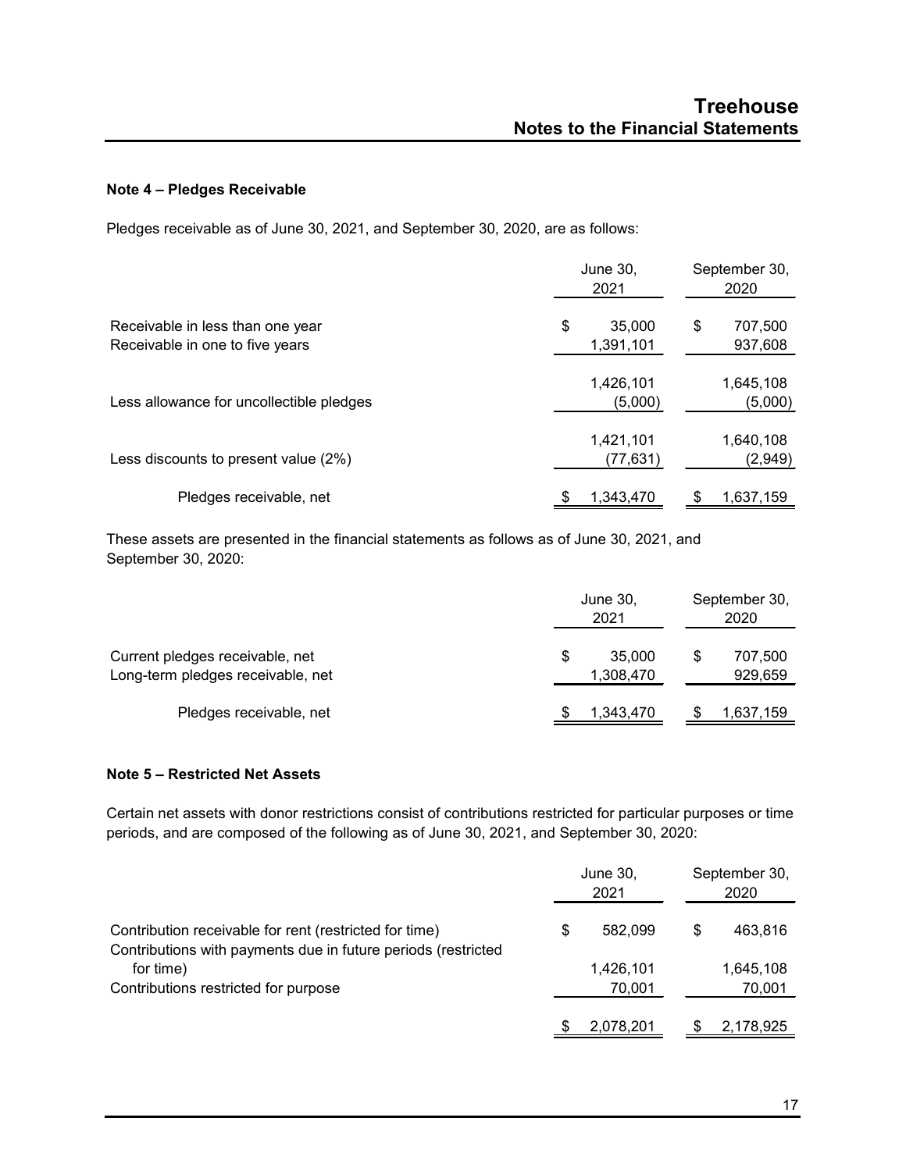# **Note 4 – Pledges Receivable**

Pledges receivable as of June 30, 2021, and September 30, 2020, are as follows:

|                                                                     | June 30,<br>2021          | September 30,<br>2020    |
|---------------------------------------------------------------------|---------------------------|--------------------------|
| Receivable in less than one year<br>Receivable in one to five years | 35,000<br>\$<br>1,391,101 | 707,500<br>\$<br>937,608 |
| Less allowance for uncollectible pledges                            | 1,426,101<br>(5,000)      | 1,645,108<br>(5,000)     |
| Less discounts to present value (2%)                                | 1,421,101<br>(77, 631)    | 1,640,108<br>(2,949)     |
| Pledges receivable, net                                             | 1,343,470                 | 1,637,159                |

These assets are presented in the financial statements as follows as of June 30, 2021, and September 30, 2020:

|                                                                      | June 30,<br>2021    | September 30,<br>2020    |  |  |
|----------------------------------------------------------------------|---------------------|--------------------------|--|--|
| Current pledges receivable, net<br>Long-term pledges receivable, net | 35,000<br>1,308,470 | \$<br>707,500<br>929,659 |  |  |
| Pledges receivable, net                                              | 1,343,470           | 1,637,159                |  |  |

#### **Note 5 – Restricted Net Assets**

Certain net assets with donor restrictions consist of contributions restricted for particular purposes or time periods, and are composed of the following as of June 30, 2021, and September 30, 2020:

|                                                                                                                         | June 30,<br>2021 |                     | September 30,<br>2020 |                     |
|-------------------------------------------------------------------------------------------------------------------------|------------------|---------------------|-----------------------|---------------------|
| Contribution receivable for rent (restricted for time)<br>Contributions with payments due in future periods (restricted | S                | 582.099             | \$                    | 463,816             |
| for time)<br>Contributions restricted for purpose                                                                       |                  | 1,426,101<br>70.001 |                       | 1,645,108<br>70,001 |
|                                                                                                                         |                  | 2,078,201           |                       | 2,178,925           |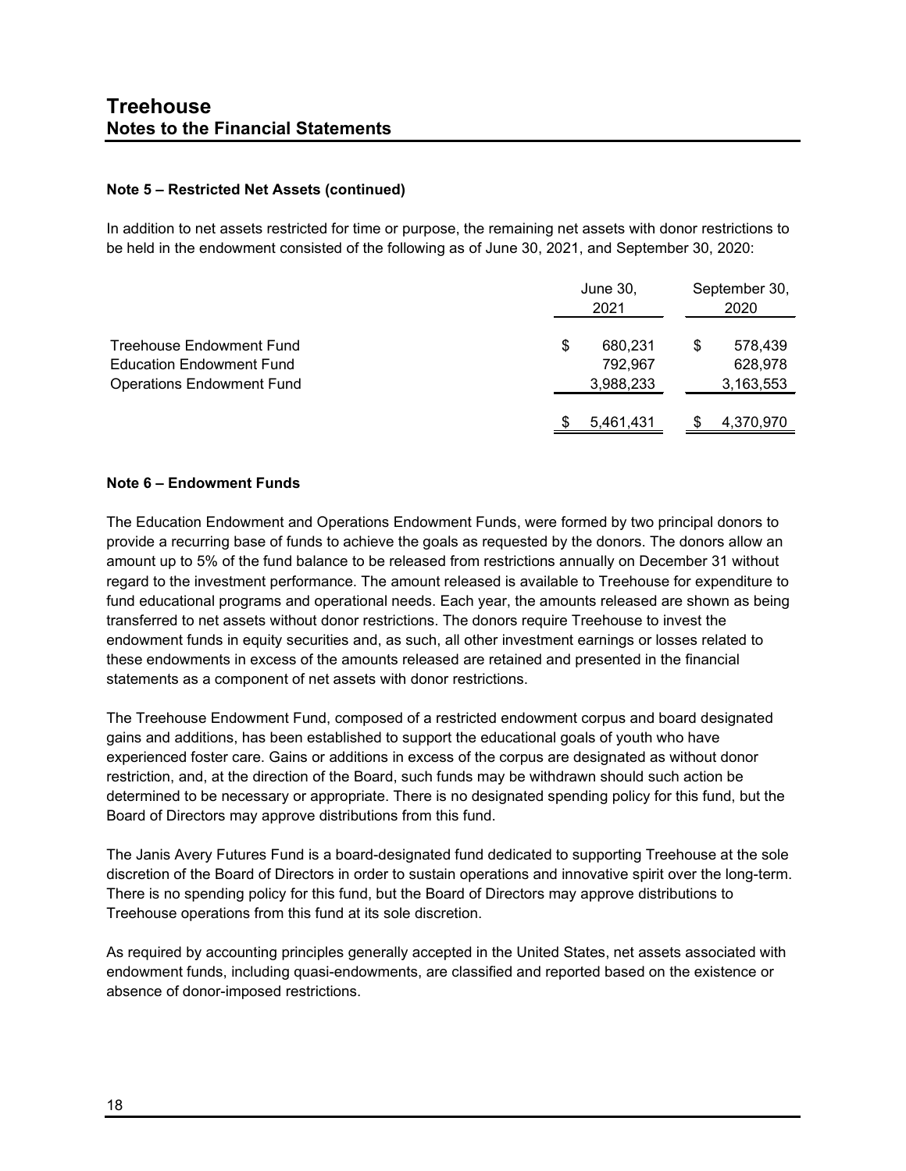#### **Note 5 – Restricted Net Assets (continued)**

In addition to net assets restricted for time or purpose, the remaining net assets with donor restrictions to be held in the endowment consisted of the following as of June 30, 2021, and September 30, 2020:

|                                  |   | June 30,<br>2021 |   | September 30,<br>2020 |  |
|----------------------------------|---|------------------|---|-----------------------|--|
| Treehouse Endowment Fund         | S | 680,231          | S | 578,439               |  |
| <b>Education Endowment Fund</b>  |   | 792.967          |   | 628,978               |  |
| <b>Operations Endowment Fund</b> |   | 3,988,233        |   | 3,163,553             |  |
|                                  |   | 5,461,431        |   | 4,370,970             |  |

#### **Note 6 – Endowment Funds**

The Education Endowment and Operations Endowment Funds, were formed by two principal donors to provide a recurring base of funds to achieve the goals as requested by the donors. The donors allow an amount up to 5% of the fund balance to be released from restrictions annually on December 31 without regard to the investment performance. The amount released is available to Treehouse for expenditure to fund educational programs and operational needs. Each year, the amounts released are shown as being transferred to net assets without donor restrictions. The donors require Treehouse to invest the endowment funds in equity securities and, as such, all other investment earnings or losses related to these endowments in excess of the amounts released are retained and presented in the financial statements as a component of net assets with donor restrictions.

The Treehouse Endowment Fund, composed of a restricted endowment corpus and board designated gains and additions, has been established to support the educational goals of youth who have experienced foster care. Gains or additions in excess of the corpus are designated as without donor restriction, and, at the direction of the Board, such funds may be withdrawn should such action be determined to be necessary or appropriate. There is no designated spending policy for this fund, but the Board of Directors may approve distributions from this fund.

The Janis Avery Futures Fund is a board-designated fund dedicated to supporting Treehouse at the sole discretion of the Board of Directors in order to sustain operations and innovative spirit over the long-term. There is no spending policy for this fund, but the Board of Directors may approve distributions to Treehouse operations from this fund at its sole discretion.

As required by accounting principles generally accepted in the United States, net assets associated with endowment funds, including quasi-endowments, are classified and reported based on the existence or absence of donor-imposed restrictions.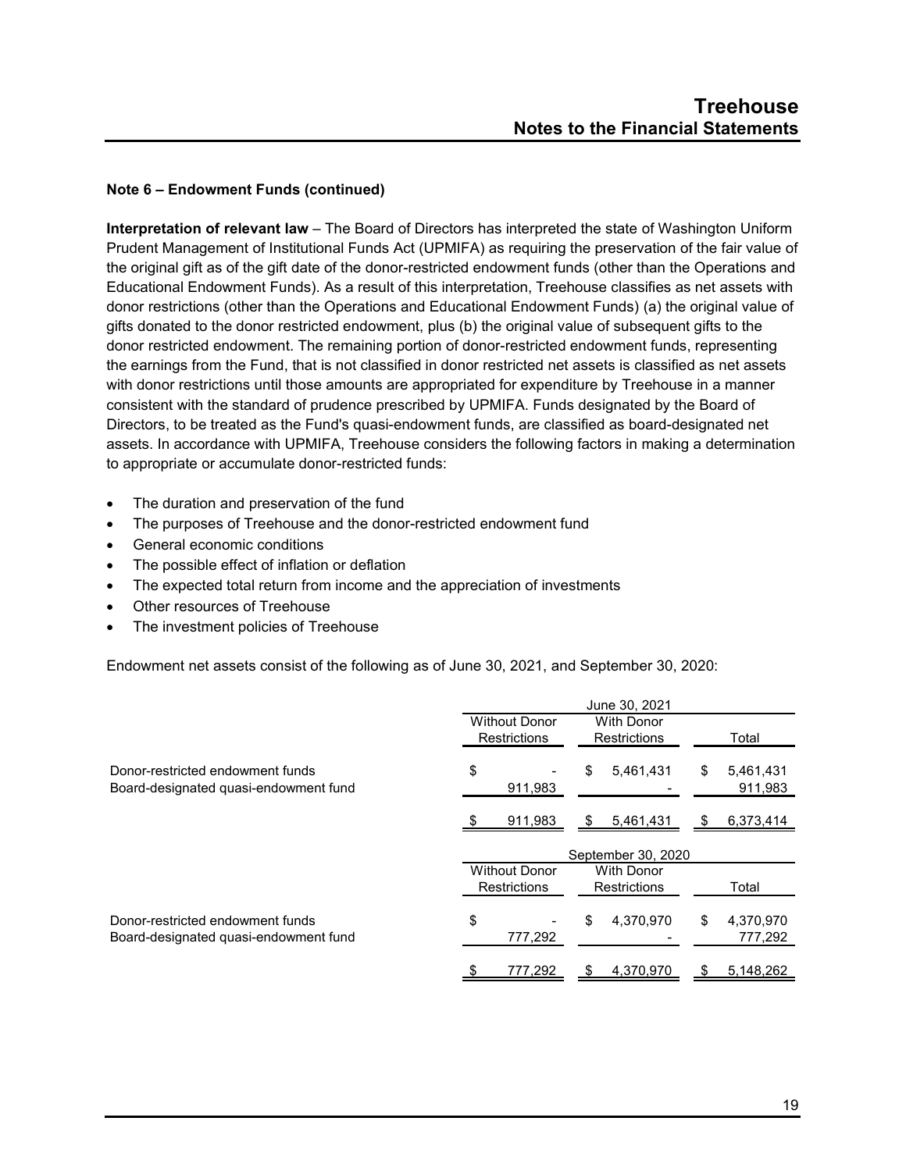# **Note 6 – Endowment Funds (continued)**

**Interpretation of relevant law** – The Board of Directors has interpreted the state of Washington Uniform Prudent Management of Institutional Funds Act (UPMIFA) as requiring the preservation of the fair value of the original gift as of the gift date of the donor-restricted endowment funds (other than the Operations and Educational Endowment Funds). As a result of this interpretation, Treehouse classifies as net assets with donor restrictions (other than the Operations and Educational Endowment Funds) (a) the original value of gifts donated to the donor restricted endowment, plus (b) the original value of subsequent gifts to the donor restricted endowment. The remaining portion of donor-restricted endowment funds, representing the earnings from the Fund, that is not classified in donor restricted net assets is classified as net assets with donor restrictions until those amounts are appropriated for expenditure by Treehouse in a manner consistent with the standard of prudence prescribed by UPMIFA. Funds designated by the Board of Directors, to be treated as the Fund's quasi-endowment funds, are classified as board-designated net assets. In accordance with UPMIFA, Treehouse considers the following factors in making a determination to appropriate or accumulate donor-restricted funds:

- The duration and preservation of the fund
- The purposes of Treehouse and the donor-restricted endowment fund
- General economic conditions
- The possible effect of inflation or deflation
- The expected total return from income and the appreciation of investments
- Other resources of Treehouse
- The investment policies of Treehouse

Endowment net assets consist of the following as of June 30, 2021, and September 30, 2020:

|                                                                           | June 30, 2021        |                     |                     |                     |     |                      |
|---------------------------------------------------------------------------|----------------------|---------------------|---------------------|---------------------|-----|----------------------|
|                                                                           | <b>Without Donor</b> |                     |                     | <b>With Donor</b>   |     |                      |
|                                                                           |                      | <b>Restrictions</b> | <b>Restrictions</b> |                     |     | Total                |
| Donor-restricted endowment funds<br>Board-designated quasi-endowment fund | \$                   | 911,983             | \$                  | 5,461,431           | \$  | 5,461,431<br>911,983 |
|                                                                           |                      | 911,983             | -SS                 | 5,461,431           | -95 | 6,373,414            |
|                                                                           |                      |                     |                     | September 30, 2020  |     |                      |
|                                                                           | <b>Without Donor</b> |                     |                     | <b>With Donor</b>   |     |                      |
|                                                                           |                      | <b>Restrictions</b> |                     | <b>Restrictions</b> |     | Total                |
| Donor-restricted endowment funds<br>Board-designated quasi-endowment fund | \$                   | 777,292             | \$                  | 4,370,970           | \$  | 4,370,970<br>777,292 |
|                                                                           |                      | 777,292             |                     | 4,370,970           |     | 5,148,262            |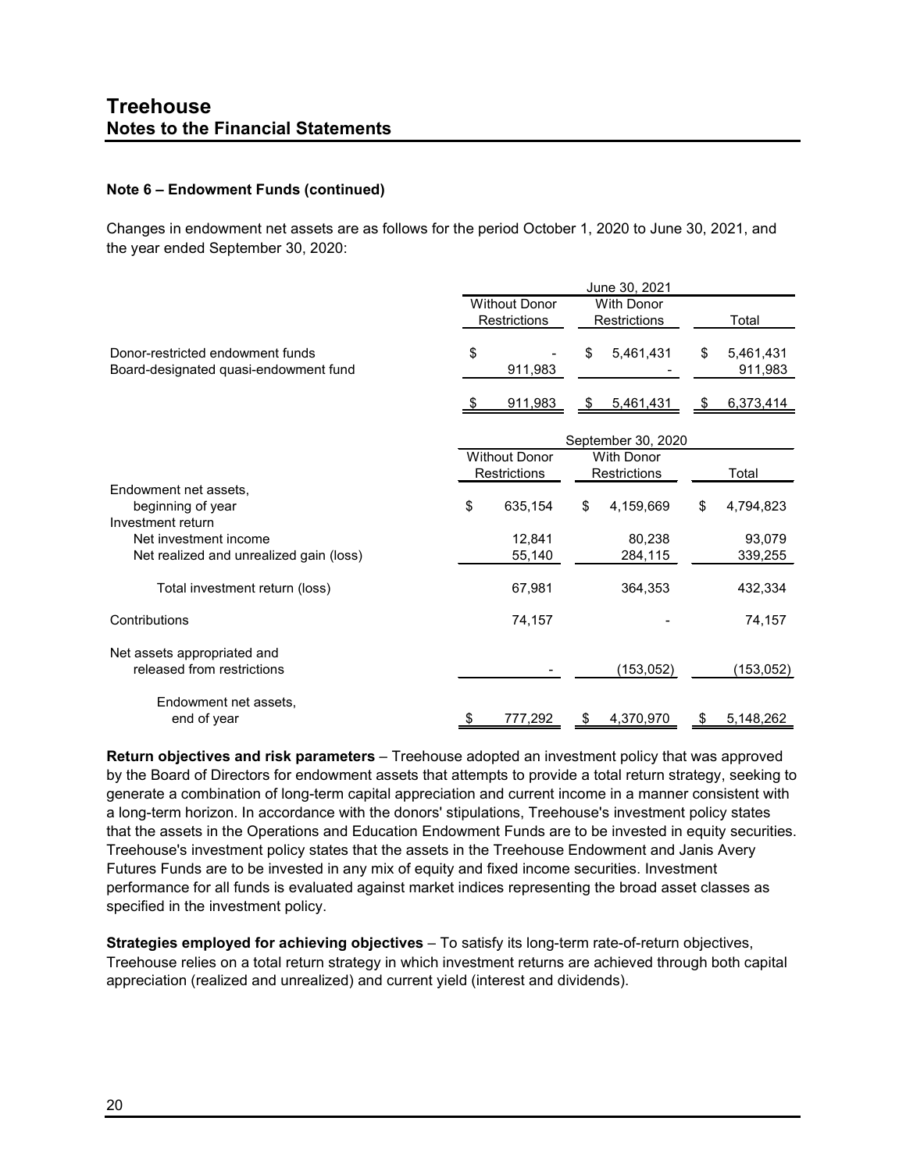# **Note 6 – Endowment Funds (continued)**

Changes in endowment net assets are as follows for the period October 1, 2020 to June 30, 2021, and the year ended September 30, 2020:

|                                         | June 30, 2021        |                      |                |                    |    |            |  |
|-----------------------------------------|----------------------|----------------------|----------------|--------------------|----|------------|--|
|                                         | <b>Without Donor</b> |                      |                | <b>With Donor</b>  |    |            |  |
|                                         |                      | Restrictions         |                | Restrictions       |    | Total      |  |
| Donor-restricted endowment funds        | \$                   |                      | \$             | 5,461,431          | \$ | 5,461,431  |  |
| Board-designated quasi-endowment fund   |                      | 911,983              |                |                    |    | 911,983    |  |
|                                         |                      | <u>911,983</u>       | $\mathfrak{S}$ | 5,461,431          | \$ | 6,373,414  |  |
|                                         |                      |                      |                | September 30, 2020 |    |            |  |
|                                         |                      | <b>Without Donor</b> |                | <b>With Donor</b>  |    |            |  |
|                                         |                      | <b>Restrictions</b>  |                | Restrictions       |    | Total      |  |
| Endowment net assets,                   |                      |                      |                |                    |    |            |  |
| beginning of year                       | \$                   | 635,154              | \$             | 4,159,669          | \$ | 4,794,823  |  |
| Investment return                       |                      |                      |                |                    |    |            |  |
| Net investment income                   |                      | 12,841               |                | 80,238             |    | 93,079     |  |
| Net realized and unrealized gain (loss) |                      | 55,140               |                | 284,115            |    | 339,255    |  |
| Total investment return (loss)          |                      | 67,981               |                | 364,353            |    | 432,334    |  |
| Contributions                           |                      | 74,157               |                |                    |    | 74,157     |  |
| Net assets appropriated and             |                      |                      |                |                    |    |            |  |
| released from restrictions              |                      |                      |                | (153, 052)         |    | (153, 052) |  |
| Endowment net assets,                   |                      |                      |                |                    |    |            |  |
| end of year                             | \$                   | 777.292              | S              | 4,370,970          | \$ | 5,148,262  |  |

**Return objectives and risk parameters** – Treehouse adopted an investment policy that was approved by the Board of Directors for endowment assets that attempts to provide a total return strategy, seeking to generate a combination of long-term capital appreciation and current income in a manner consistent with a long-term horizon. In accordance with the donors' stipulations, Treehouse's investment policy states that the assets in the Operations and Education Endowment Funds are to be invested in equity securities. Treehouse's investment policy states that the assets in the Treehouse Endowment and Janis Avery Futures Funds are to be invested in any mix of equity and fixed income securities. Investment performance for all funds is evaluated against market indices representing the broad asset classes as specified in the investment policy.

**Strategies employed for achieving objectives** – To satisfy its long-term rate-of-return objectives, Treehouse relies on a total return strategy in which investment returns are achieved through both capital appreciation (realized and unrealized) and current yield (interest and dividends).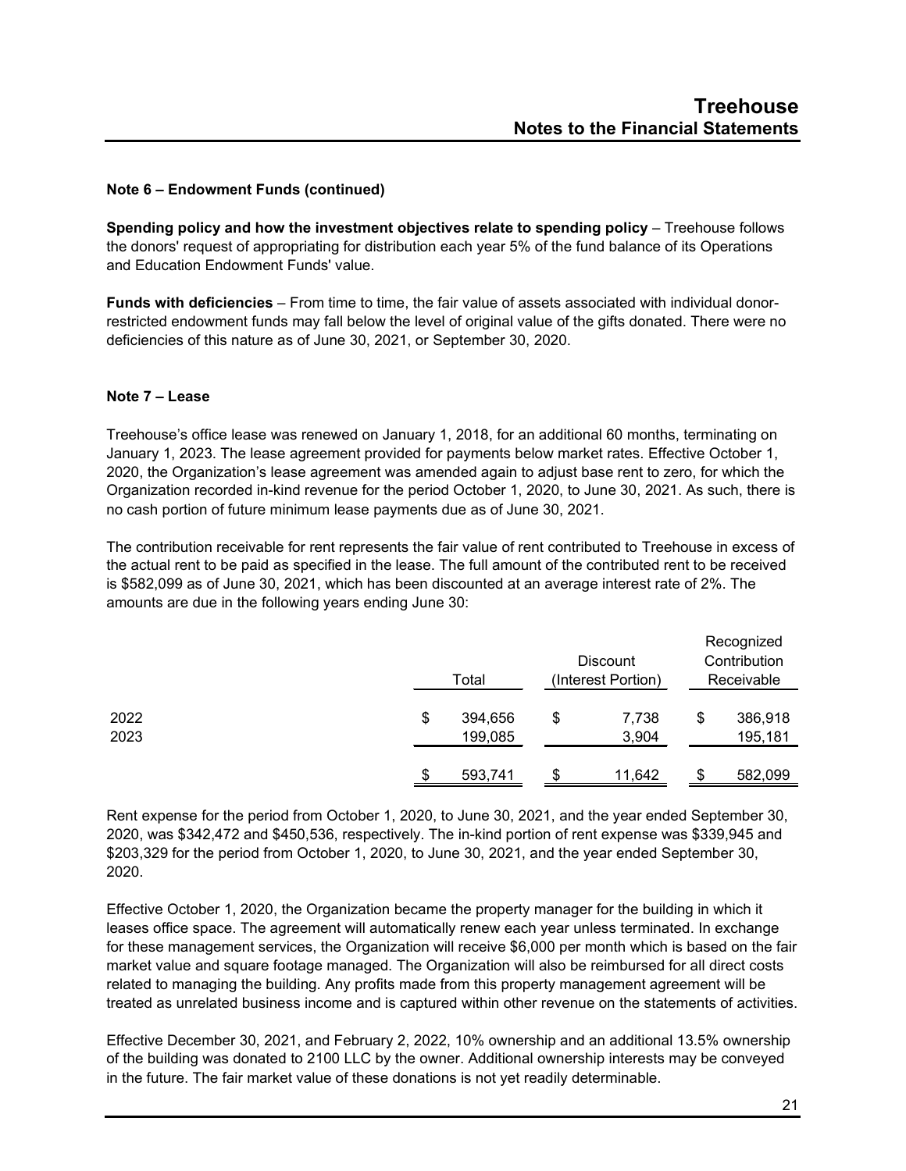# **Note 6 – Endowment Funds (continued)**

**Spending policy and how the investment objectives relate to spending policy** – Treehouse follows the donors' request of appropriating for distribution each year 5% of the fund balance of its Operations and Education Endowment Funds' value.

**Funds with deficiencies** – From time to time, the fair value of assets associated with individual donorrestricted endowment funds may fall below the level of original value of the gifts donated. There were no deficiencies of this nature as of June 30, 2021, or September 30, 2020.

#### **Note 7 – Lease**

Treehouse's office lease was renewed on January 1, 2018, for an additional 60 months, terminating on January 1, 2023. The lease agreement provided for payments below market rates. Effective October 1, 2020, the Organization's lease agreement was amended again to adjust base rent to zero, for which the Organization recorded in-kind revenue for the period October 1, 2020, to June 30, 2021. As such, there is no cash portion of future minimum lease payments due as of June 30, 2021.

The contribution receivable for rent represents the fair value of rent contributed to Treehouse in excess of the actual rent to be paid as specified in the lease. The full amount of the contributed rent to be received is \$582,099 as of June 30, 2021, which has been discounted at an average interest rate of 2%. The amounts are due in the following years ending June 30:

|      | Total         |    |        | Recognized<br>Contribution<br>Receivable |         |
|------|---------------|----|--------|------------------------------------------|---------|
| 2022 | \$<br>394,656 | \$ | 7,738  | \$                                       | 386,918 |
| 2023 | 199,085       |    | 3,904  |                                          | 195,181 |
|      | 593,741       |    | 11,642 | S                                        | 582,099 |

Rent expense for the period from October 1, 2020, to June 30, 2021, and the year ended September 30, 2020, was \$342,472 and \$450,536, respectively. The in-kind portion of rent expense was \$339,945 and \$203,329 for the period from October 1, 2020, to June 30, 2021, and the year ended September 30, 2020.

Effective October 1, 2020, the Organization became the property manager for the building in which it leases office space. The agreement will automatically renew each year unless terminated. In exchange for these management services, the Organization will receive \$6,000 per month which is based on the fair market value and square footage managed. The Organization will also be reimbursed for all direct costs related to managing the building. Any profits made from this property management agreement will be treated as unrelated business income and is captured within other revenue on the statements of activities.

Effective December 30, 2021, and February 2, 2022, 10% ownership and an additional 13.5% ownership of the building was donated to 2100 LLC by the owner. Additional ownership interests may be conveyed in the future. The fair market value of these donations is not yet readily determinable.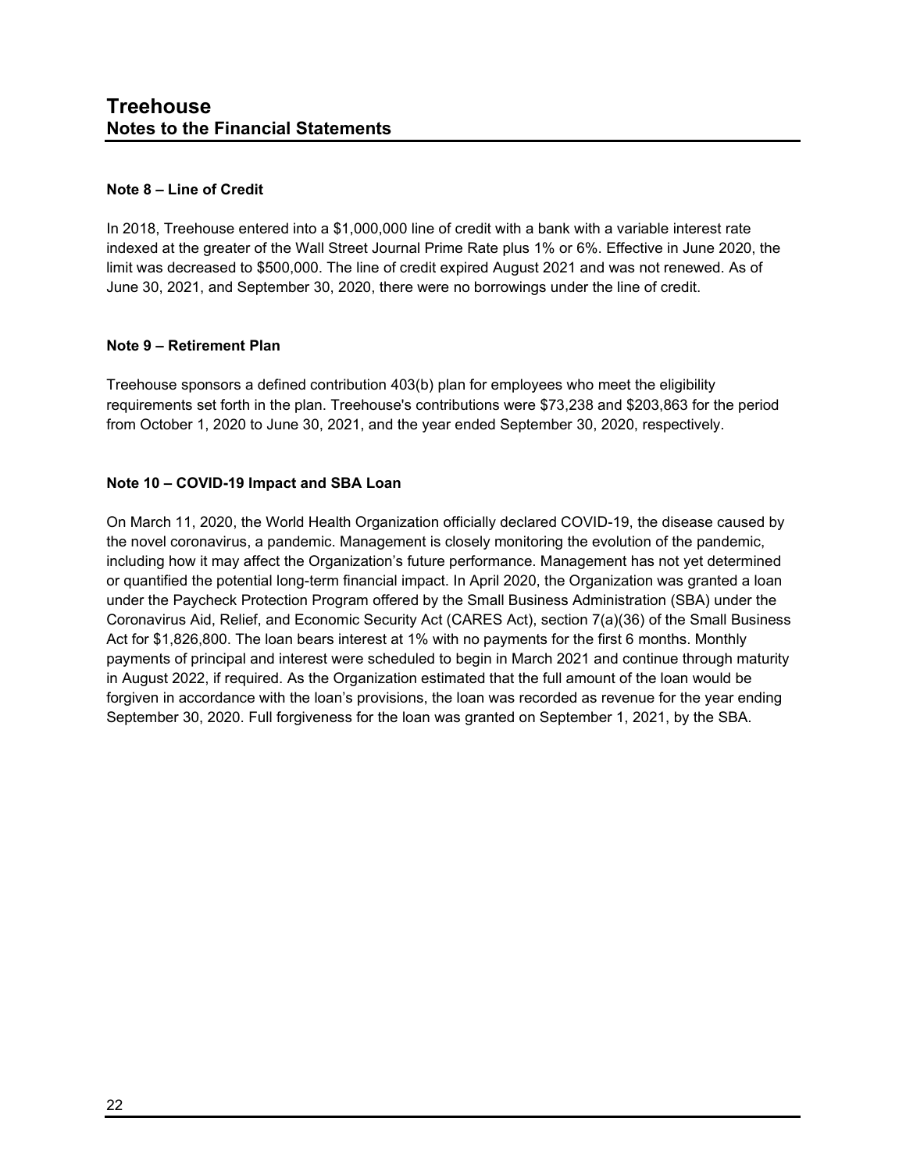#### **Note 8 – Line of Credit**

In 2018, Treehouse entered into a \$1,000,000 line of credit with a bank with a variable interest rate indexed at the greater of the Wall Street Journal Prime Rate plus 1% or 6%. Effective in June 2020, the limit was decreased to \$500,000. The line of credit expired August 2021 and was not renewed. As of June 30, 2021, and September 30, 2020, there were no borrowings under the line of credit.

# **Note 9 – Retirement Plan**

Treehouse sponsors a defined contribution 403(b) plan for employees who meet the eligibility requirements set forth in the plan. Treehouse's contributions were \$73,238 and \$203,863 for the period from October 1, 2020 to June 30, 2021, and the year ended September 30, 2020, respectively.

# **Note 10 – COVID-19 Impact and SBA Loan**

On March 11, 2020, the World Health Organization officially declared COVID-19, the disease caused by the novel coronavirus, a pandemic. Management is closely monitoring the evolution of the pandemic, including how it may affect the Organization's future performance. Management has not yet determined or quantified the potential long-term financial impact. In April 2020, the Organization was granted a loan under the Paycheck Protection Program offered by the Small Business Administration (SBA) under the Coronavirus Aid, Relief, and Economic Security Act (CARES Act), section 7(a)(36) of the Small Business Act for \$1,826,800. The loan bears interest at 1% with no payments for the first 6 months. Monthly payments of principal and interest were scheduled to begin in March 2021 and continue through maturity in August 2022, if required. As the Organization estimated that the full amount of the loan would be forgiven in accordance with the loan's provisions, the loan was recorded as revenue for the year ending September 30, 2020. Full forgiveness for the loan was granted on September 1, 2021, by the SBA.